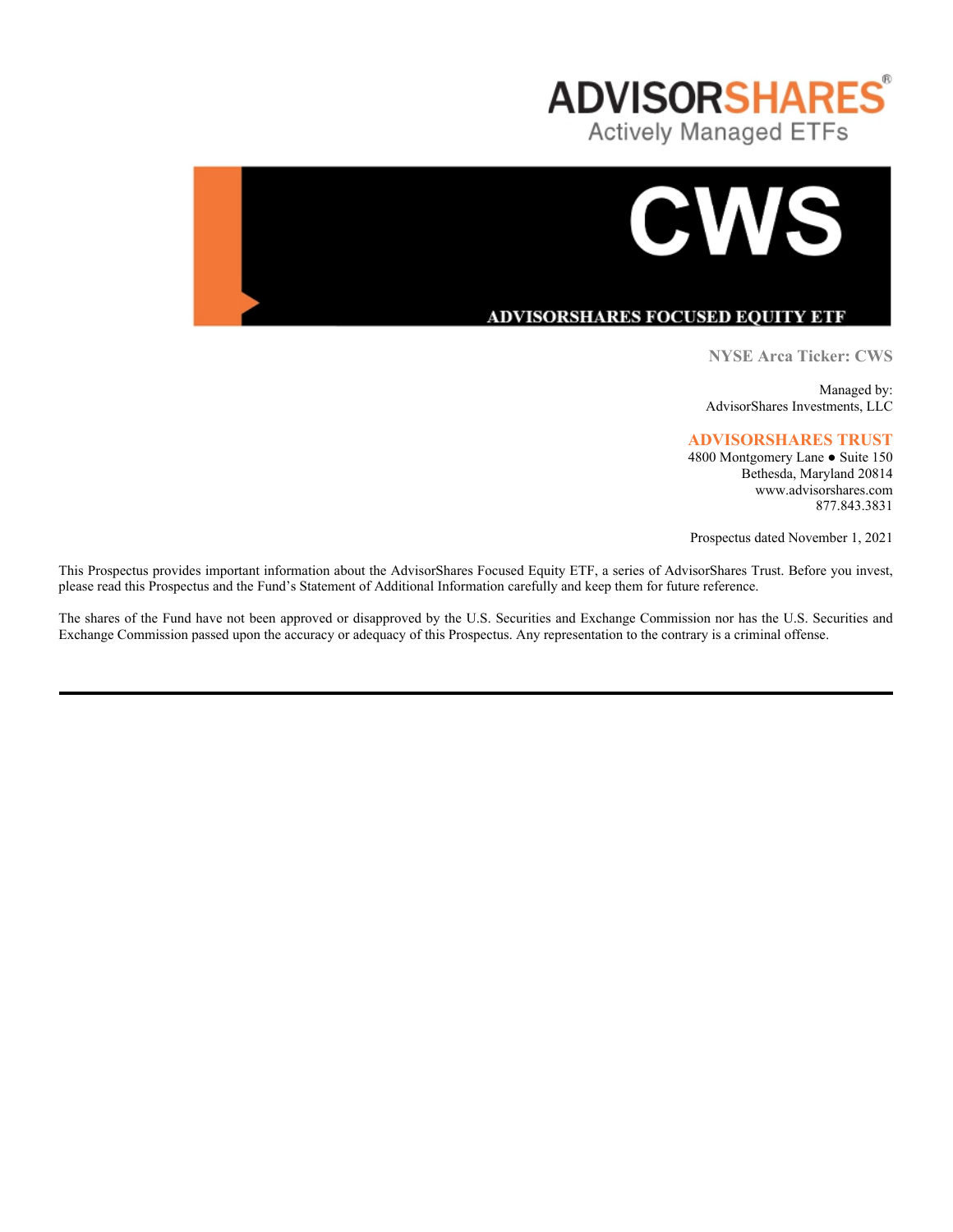



# **ADVISORSHARES FOCUSED EQUITY ETF**

**NYSE Arca Ticker: CWS**

Managed by: AdvisorShares Investments, LLC

## **ADVISORSHARES TRUST**

4800 Montgomery Lane ● Suite 150 Bethesda, Maryland 20814 www.advisorshares.com 877.843.3831

Prospectus dated November 1, 2021

This Prospectus provides important information about the AdvisorShares Focused Equity ETF, a series of AdvisorShares Trust. Before you invest, please read this Prospectus and the Fund's Statement of Additional Information carefully and keep them for future reference.

The shares of the Fund have not been approved or disapproved by the U.S. Securities and Exchange Commission nor has the U.S. Securities and Exchange Commission passed upon the accuracy or adequacy of this Prospectus. Any representation to the contrary is a criminal offense.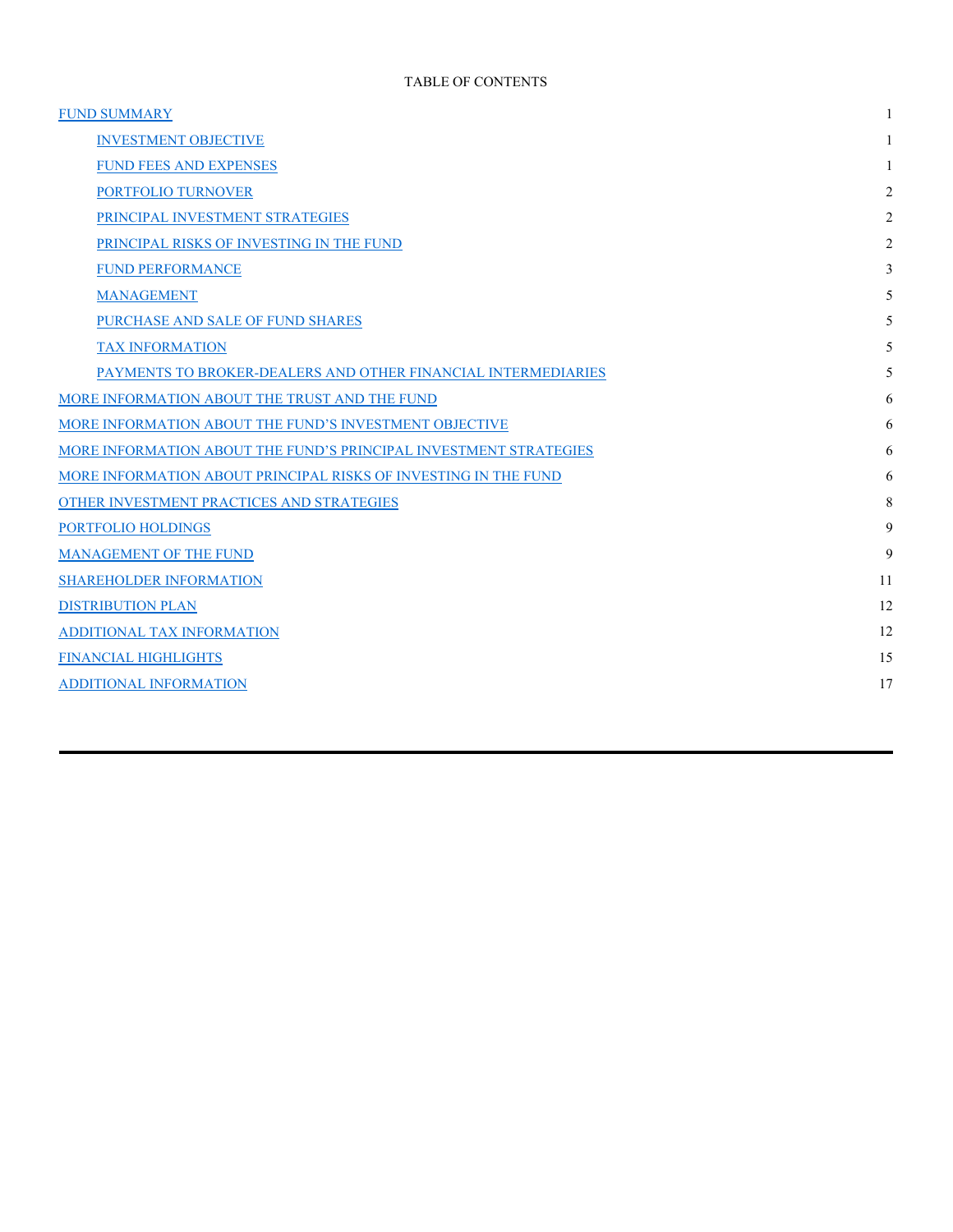| <b>FUND SUMMARY</b>                                               | 1              |
|-------------------------------------------------------------------|----------------|
| <b>INVESTMENT OBJECTIVE</b>                                       | 1              |
| <b>FUND FEES AND EXPENSES</b>                                     | 1              |
| PORTFOLIO TURNOVER                                                | 2              |
| PRINCIPAL INVESTMENT STRATEGIES                                   | 2              |
| PRINCIPAL RISKS OF INVESTING IN THE FUND                          | $\overline{2}$ |
| <b>FUND PERFORMANCE</b>                                           | 3              |
| <b>MANAGEMENT</b>                                                 | 5              |
| PURCHASE AND SALE OF FUND SHARES                                  | 5              |
| <b>TAX INFORMATION</b>                                            | 5              |
| PAYMENTS TO BROKER-DEALERS AND OTHER FINANCIAL INTERMEDIARIES     | 5              |
| MORE INFORMATION ABOUT THE TRUST AND THE FUND                     | 6              |
| MORE INFORMATION ABOUT THE FUND'S INVESTMENT OBJECTIVE            | 6              |
| MORE INFORMATION ABOUT THE FUND'S PRINCIPAL INVESTMENT STRATEGIES | 6              |
| MORE INFORMATION ABOUT PRINCIPAL RISKS OF INVESTING IN THE FUND   | 6              |
| OTHER INVESTMENT PRACTICES AND STRATEGIES                         | 8              |
| <b>PORTFOLIO HOLDINGS</b>                                         | 9              |
| MANAGEMENT OF THE FUND                                            | 9              |
| <b>SHAREHOLDER INFORMATION</b>                                    | 11             |
| <b>DISTRIBUTION PLAN</b>                                          | 12             |
| ADDITIONAL TAX INFORMATION                                        | 12             |
| <b>FINANCIAL HIGHLIGHTS</b>                                       | 15             |
| <b>ADDITIONAL INFORMATION</b>                                     | 17             |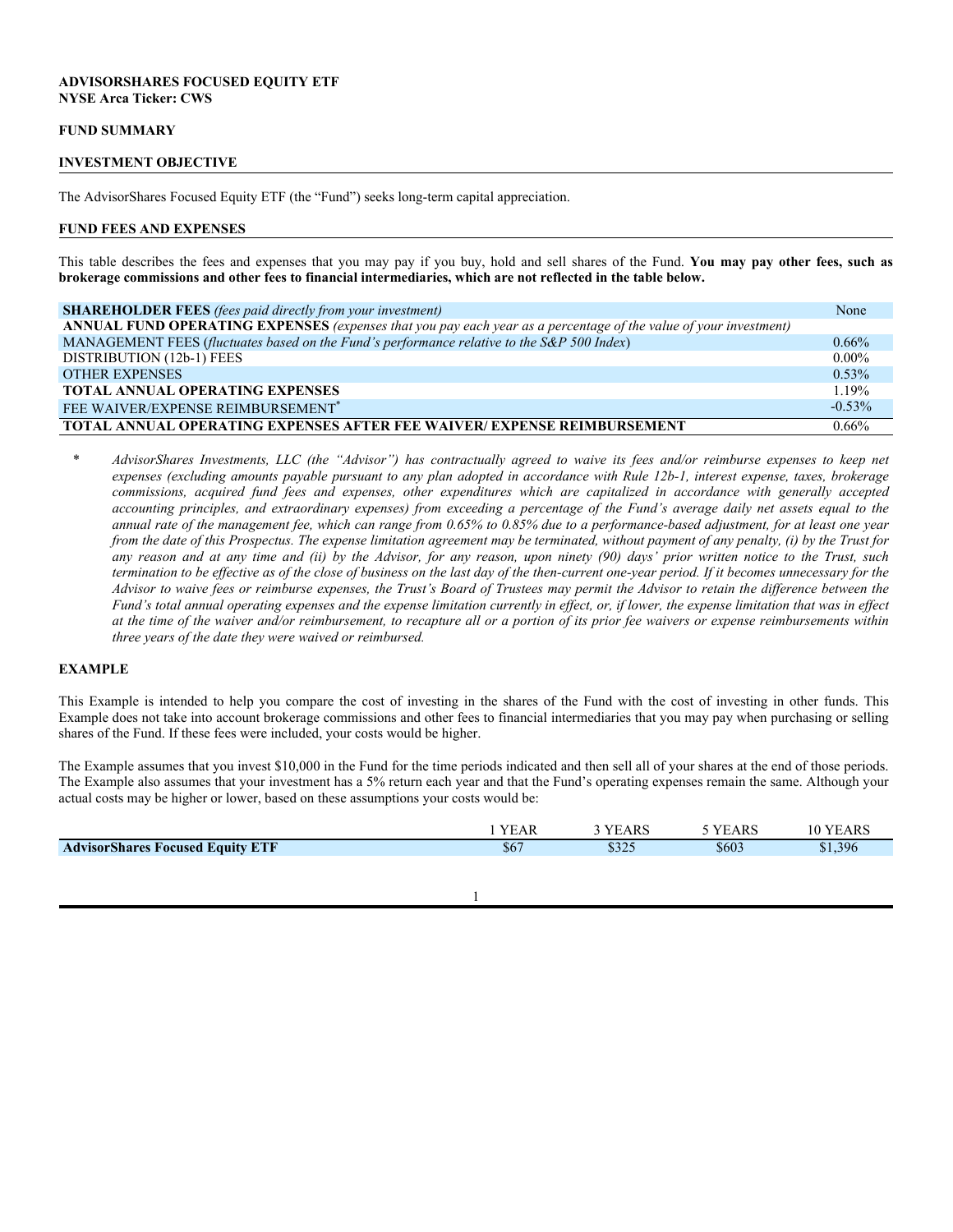## **ADVISORSHARES FOCUSED EQUITY ETF NYSE Arca Ticker: CWS**

#### **FUND SUMMARY**

#### **INVESTMENT OBJECTIVE**

The AdvisorShares Focused Equity ETF (the "Fund") seeks long-term capital appreciation.

#### **FUND FEES AND EXPENSES**

This table describes the fees and expenses that you may pay if you buy, hold and sell shares of the Fund. **You may pay other fees, such as brokerage commissions and other fees to financial intermediaries, which are not reflected in the table below.**

| <b>SHAREHOLDER FEES</b> (fees paid directly from your investment)                                                | None      |
|------------------------------------------------------------------------------------------------------------------|-----------|
| ANNUAL FUND OPERATING EXPENSES (expenses that you pay each year as a percentage of the value of your investment) |           |
| MANAGEMENT FEES (fluctuates based on the Fund's performance relative to the S&P 500 Index)                       | $0.66\%$  |
| DISTRIBUTION (12b-1) FEES                                                                                        | $0.00\%$  |
| <b>OTHER EXPENSES</b>                                                                                            | $0.53\%$  |
| <b>TOTAL ANNUAL OPERATING EXPENSES</b>                                                                           | 1.19%     |
| FEE WAIVER/EXPENSE REIMBURSEMENT <sup>*</sup>                                                                    | $-0.53\%$ |
| <b>TOTAL ANNUAL OPERATING EXPENSES AFTER FEE WAIVER/ EXPENSE REIMBURSEMENT</b>                                   | $0.66\%$  |

*\* AdvisorShares Investments, LLC (the "Advisor") has contractually agreed to waive its fees and/or reimburse expenses to keep net expenses (excluding amounts payable pursuant to any plan adopted in accordance with Rule 12b-1, interest expense, taxes, brokerage commissions, acquired fund fees and expenses, other expenditures which are capitalized in accordance with generally accepted accounting principles, and extraordinary expenses) from exceeding a percentage of the Fund's average daily net assets equal to the annual rate of the management fee, which can range from 0.65% to 0.85% due to a performance-based adjustment, for at least one year from the date of this Prospectus. The expense limitation agreement may be terminated, without payment of any penalty, (i) by the Trust for any reason and at any time and (ii) by the Advisor, for any reason, upon ninety (90) days' prior written notice to the Trust, such termination to be effective as of the close of business on the last day of the then-current one-year period. If it becomes unnecessary for the Advisor to waive fees or reimburse expenses, the Trust's Board of Trustees may permit the Advisor to retain the difference between the Fund's total annual operating expenses and the expense limitation currently in effect, or, if lower, the expense limitation that was in effect at the time of the waiver and/or reimbursement, to recapture all or a portion of its prior fee waivers or expense reimbursements within three years of the date they were waived or reimbursed.*

#### **EXAMPLE**

This Example is intended to help you compare the cost of investing in the shares of the Fund with the cost of investing in other funds. This Example does not take into account brokerage commissions and other fees to financial intermediaries that you may pay when purchasing or selling shares of the Fund. If these fees were included, your costs would be higher.

The Example assumes that you invest \$10,000 in the Fund for the time periods indicated and then sell all of your shares at the end of those periods. The Example also assumes that your investment has a 5% return each year and that the Fund's operating expenses remain the same. Although your actual costs may be higher or lower, based on these assumptions your costs would be:

|                                         | <b>YEAR</b> | <b>YEARS</b> | <b>YEARS</b> | 10 YEARS |
|-----------------------------------------|-------------|--------------|--------------|----------|
| <b>AdvisorShares Focused Equity ETF</b> | \$67        | \$325        | \$603        | \$1,396  |
|                                         |             |              |              |          |
|                                         |             |              |              |          |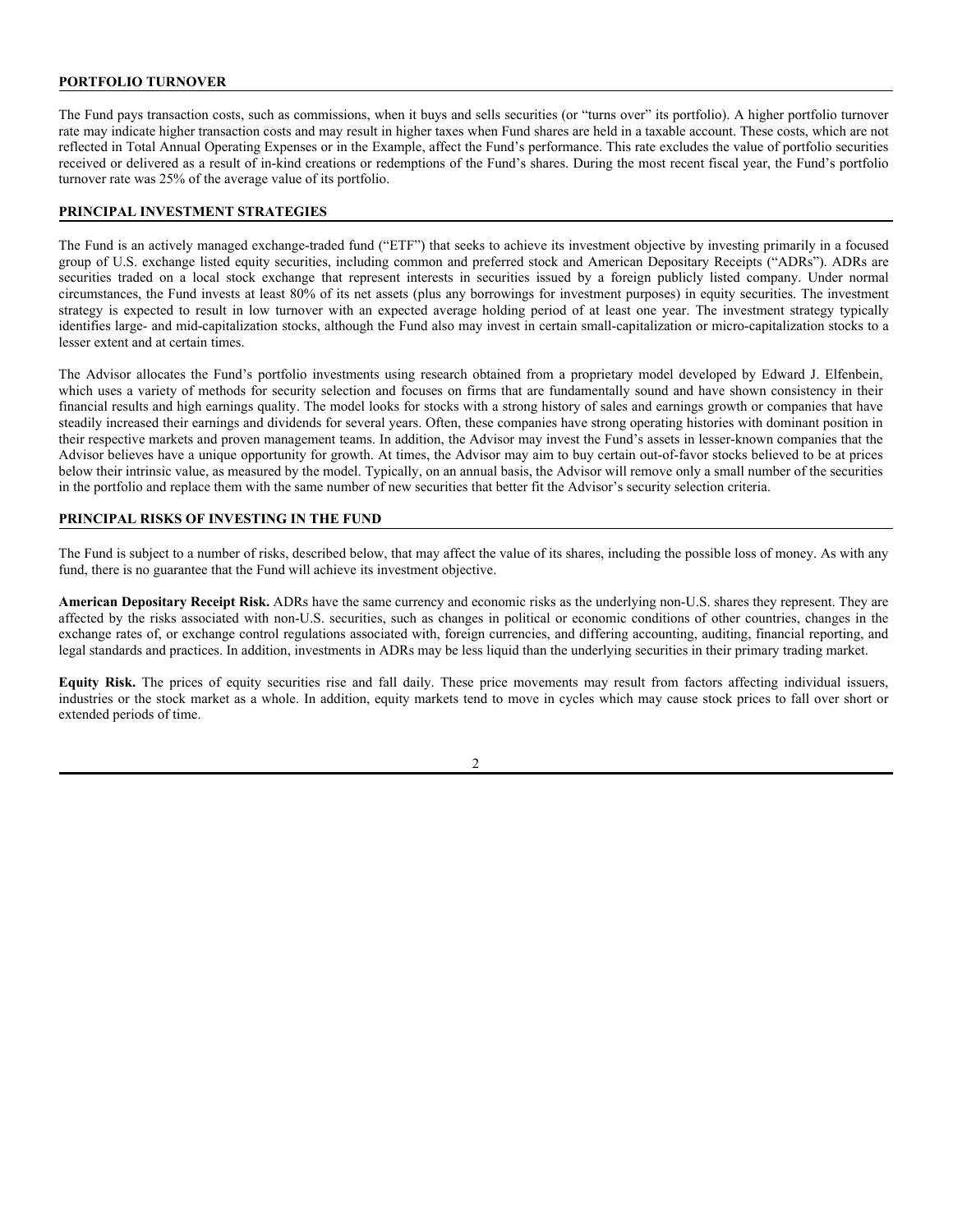## **PORTFOLIO TURNOVER**

The Fund pays transaction costs, such as commissions, when it buys and sells securities (or "turns over" its portfolio). A higher portfolio turnover rate may indicate higher transaction costs and may result in higher taxes when Fund shares are held in a taxable account. These costs, which are not reflected in Total Annual Operating Expenses or in the Example, affect the Fund's performance. This rate excludes the value of portfolio securities received or delivered as a result of in-kind creations or redemptions of the Fund's shares. During the most recent fiscal year, the Fund's portfolio turnover rate was 25% of the average value of its portfolio.

## **PRINCIPAL INVESTMENT STRATEGIES**

The Fund is an actively managed exchange-traded fund ("ETF") that seeks to achieve its investment objective by investing primarily in a focused group of U.S. exchange listed equity securities, including common and preferred stock and American Depositary Receipts ("ADRs"). ADRs are securities traded on a local stock exchange that represent interests in securities issued by a foreign publicly listed company. Under normal circumstances, the Fund invests at least 80% of its net assets (plus any borrowings for investment purposes) in equity securities. The investment strategy is expected to result in low turnover with an expected average holding period of at least one year. The investment strategy typically identifies large- and mid-capitalization stocks, although the Fund also may invest in certain small-capitalization or micro-capitalization stocks to a lesser extent and at certain times.

The Advisor allocates the Fund's portfolio investments using research obtained from a proprietary model developed by Edward J. Elfenbein, which uses a variety of methods for security selection and focuses on firms that are fundamentally sound and have shown consistency in their financial results and high earnings quality. The model looks for stocks with a strong history of sales and earnings growth or companies that have steadily increased their earnings and dividends for several years. Often, these companies have strong operating histories with dominant position in their respective markets and proven management teams. In addition, the Advisor may invest the Fund's assets in lesser-known companies that the Advisor believes have a unique opportunity for growth. At times, the Advisor may aim to buy certain out-of-favor stocks believed to be at prices below their intrinsic value, as measured by the model. Typically, on an annual basis, the Advisor will remove only a small number of the securities in the portfolio and replace them with the same number of new securities that better fit the Advisor's security selection criteria.

## **PRINCIPAL RISKS OF INVESTING IN THE FUND**

The Fund is subject to a number of risks, described below, that may affect the value of its shares, including the possible loss of money. As with any fund, there is no guarantee that the Fund will achieve its investment objective.

**American Depositary Receipt Risk.** ADRs have the same currency and economic risks as the underlying non-U.S. shares they represent. They are affected by the risks associated with non-U.S. securities, such as changes in political or economic conditions of other countries, changes in the exchange rates of, or exchange control regulations associated with, foreign currencies, and differing accounting, auditing, financial reporting, and legal standards and practices. In addition, investments in ADRs may be less liquid than the underlying securities in their primary trading market.

**Equity Risk.** The prices of equity securities rise and fall daily. These price movements may result from factors affecting individual issuers, industries or the stock market as a whole. In addition, equity markets tend to move in cycles which may cause stock prices to fall over short or extended periods of time.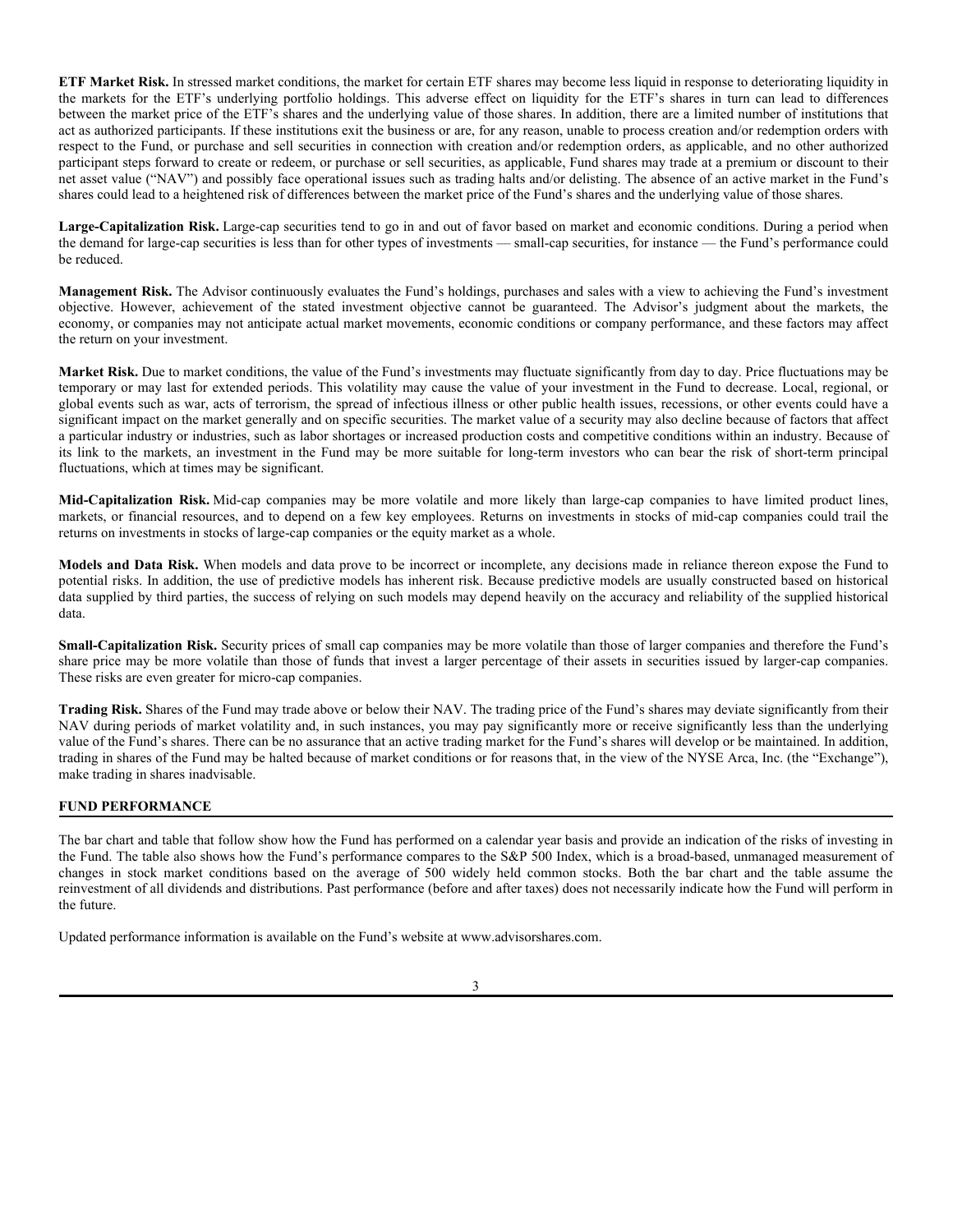**ETF Market Risk.** In stressed market conditions, the market for certain ETF shares may become less liquid in response to deteriorating liquidity in the markets for the ETF's underlying portfolio holdings. This adverse effect on liquidity for the ETF's shares in turn can lead to differences between the market price of the ETF's shares and the underlying value of those shares. In addition, there are a limited number of institutions that act as authorized participants. If these institutions exit the business or are, for any reason, unable to process creation and/or redemption orders with respect to the Fund, or purchase and sell securities in connection with creation and/or redemption orders, as applicable, and no other authorized participant steps forward to create or redeem, or purchase or sell securities, as applicable, Fund shares may trade at a premium or discount to their net asset value ("NAV") and possibly face operational issues such as trading halts and/or delisting. The absence of an active market in the Fund's shares could lead to a heightened risk of differences between the market price of the Fund's shares and the underlying value of those shares.

**Large-Capitalization Risk.** Large-cap securities tend to go in and out of favor based on market and economic conditions. During a period when the demand for large-cap securities is less than for other types of investments — small-cap securities, for instance — the Fund's performance could be reduced.

**Management Risk.** The Advisor continuously evaluates the Fund's holdings, purchases and sales with a view to achieving the Fund's investment objective. However, achievement of the stated investment objective cannot be guaranteed. The Advisor's judgment about the markets, the economy, or companies may not anticipate actual market movements, economic conditions or company performance, and these factors may affect the return on your investment.

**Market Risk.** Due to market conditions, the value of the Fund's investments may fluctuate significantly from day to day. Price fluctuations may be temporary or may last for extended periods. This volatility may cause the value of your investment in the Fund to decrease. Local, regional, or global events such as war, acts of terrorism, the spread of infectious illness or other public health issues, recessions, or other events could have a significant impact on the market generally and on specific securities. The market value of a security may also decline because of factors that affect a particular industry or industries, such as labor shortages or increased production costs and competitive conditions within an industry. Because of its link to the markets, an investment in the Fund may be more suitable for long-term investors who can bear the risk of short-term principal fluctuations, which at times may be significant.

**Mid-Capitalization Risk.** Mid-cap companies may be more volatile and more likely than large-cap companies to have limited product lines, markets, or financial resources, and to depend on a few key employees. Returns on investments in stocks of mid-cap companies could trail the returns on investments in stocks of large-cap companies or the equity market as a whole.

**Models and Data Risk.** When models and data prove to be incorrect or incomplete, any decisions made in reliance thereon expose the Fund to potential risks. In addition, the use of predictive models has inherent risk. Because predictive models are usually constructed based on historical data supplied by third parties, the success of relying on such models may depend heavily on the accuracy and reliability of the supplied historical data.

**Small-Capitalization Risk.** Security prices of small cap companies may be more volatile than those of larger companies and therefore the Fund's share price may be more volatile than those of funds that invest a larger percentage of their assets in securities issued by larger-cap companies. These risks are even greater for micro-cap companies.

**Trading Risk.** Shares of the Fund may trade above or below their NAV. The trading price of the Fund's shares may deviate significantly from their NAV during periods of market volatility and, in such instances, you may pay significantly more or receive significantly less than the underlying value of the Fund's shares. There can be no assurance that an active trading market for the Fund's shares will develop or be maintained. In addition, trading in shares of the Fund may be halted because of market conditions or for reasons that, in the view of the NYSE Arca, Inc. (the "Exchange"), make trading in shares inadvisable.

## **FUND PERFORMANCE**

The bar chart and table that follow show how the Fund has performed on a calendar year basis and provide an indication of the risks of investing in the Fund. The table also shows how the Fund's performance compares to the S&P 500 Index, which is a broad-based, unmanaged measurement of changes in stock market conditions based on the average of 500 widely held common stocks. Both the bar chart and the table assume the reinvestment of all dividends and distributions. Past performance (before and after taxes) does not necessarily indicate how the Fund will perform in the future.

Updated performance information is available on the Fund's website at www.advisorshares.com.

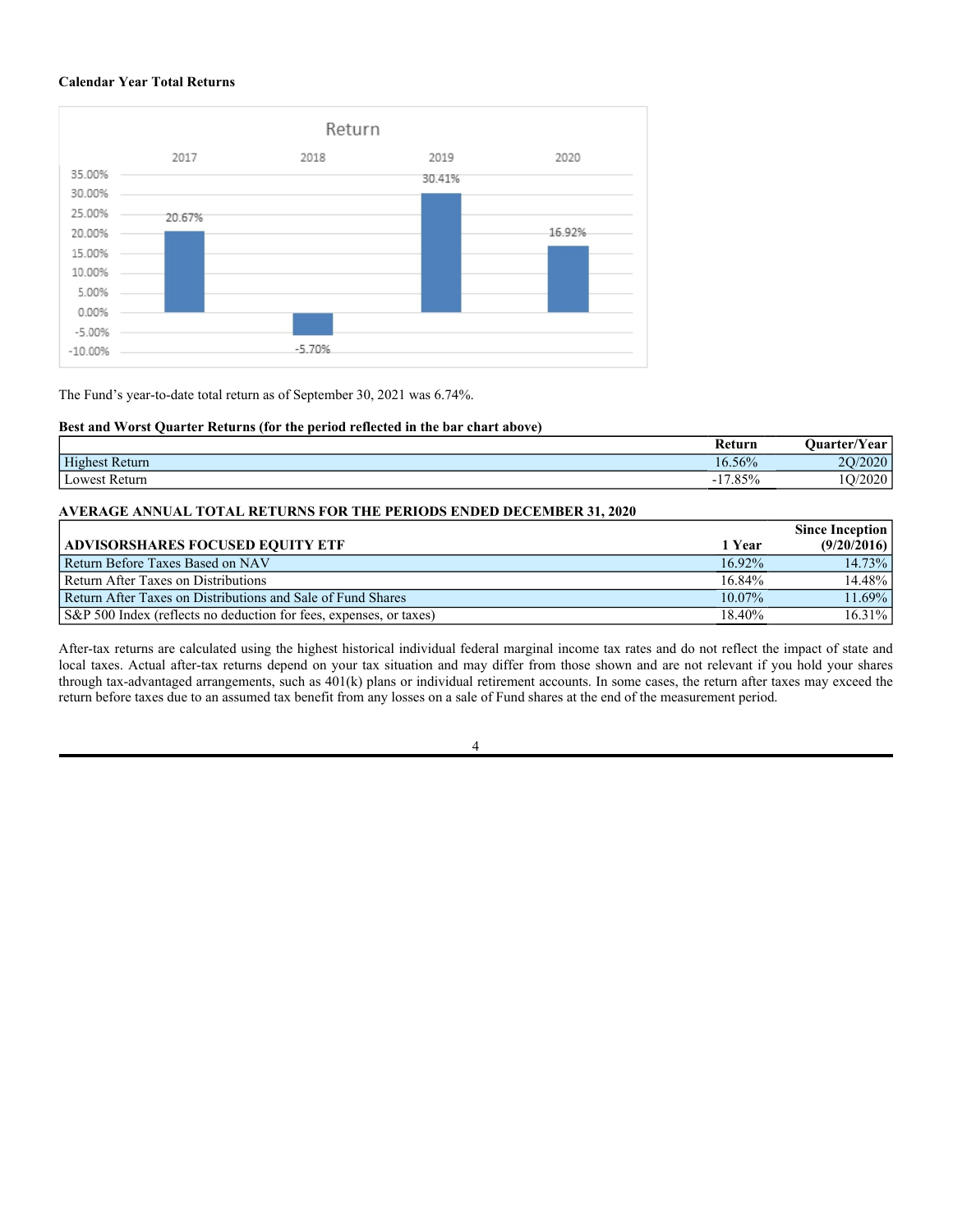#### **Calendar Year Total Returns**



The Fund's year-to-date total return as of September 30, 2021 was 6.74%.

## **Best and Worst Quarter Returns (for the period reflected in the bar chart above)**

|                 | keturn         | $\sim$ $\sim$<br><b>Ouarter/Year</b> |
|-----------------|----------------|--------------------------------------|
| Highest Return  | 16.56%         | 2000<br>$\Omega$<br>ZUZU             |
| l Lowest Return | 17.85%<br>$-1$ | $\sim$ $\sim$ $\sim$<br>∠∪∠∪         |

## **AVERAGE ANNUAL TOTAL RETURNS FOR THE PERIODS ENDED DECEMBER 31, 2020**

|                                                                    |           | <b>Since Inception</b> |
|--------------------------------------------------------------------|-----------|------------------------|
| <b>ADVISORSHARES FOCUSED EOUITY ETF</b>                            | 1 Year    | (9/20/2016)            |
| Return Before Taxes Based on NAV                                   | $16.92\%$ | 14.73%                 |
| Return After Taxes on Distributions                                | 16.84%    | 14.48%                 |
| Return After Taxes on Distributions and Sale of Fund Shares        | $10.07\%$ | 11.69%                 |
| S&P 500 Index (reflects no deduction for fees, expenses, or taxes) | 18.40%    | 16.31%                 |

After-tax returns are calculated using the highest historical individual federal marginal income tax rates and do not reflect the impact of state and local taxes. Actual after-tax returns depend on your tax situation and may differ from those shown and are not relevant if you hold your shares through tax-advantaged arrangements, such as 401(k) plans or individual retirement accounts. In some cases, the return after taxes may exceed the return before taxes due to an assumed tax benefit from any losses on a sale of Fund shares at the end of the measurement period.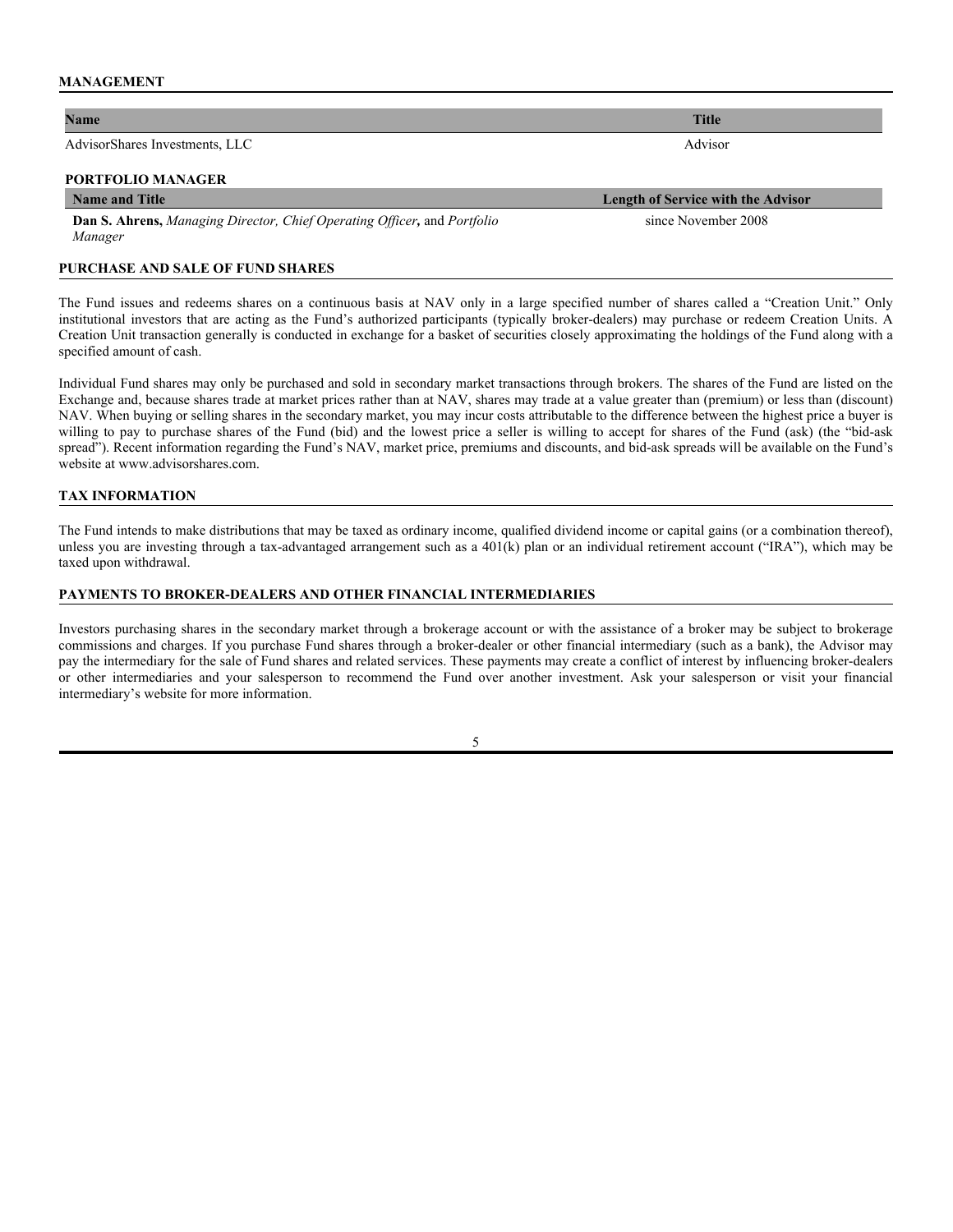#### **MANAGEMENT**

#### **Name Title**

AdvisorShares Investments, LLC Advisor

## **PORTFOLIO MANAGER**

#### **Name and Title Length of Service with the Advisor**

**Dan S. Ahrens,** *Managing Director, Chief Operating Officer,* and *Portfolio Manager* 

#### **PURCHASE AND SALE OF FUND SHARES**

The Fund issues and redeems shares on a continuous basis at NAV only in a large specified number of shares called a "Creation Unit." Only institutional investors that are acting as the Fund's authorized participants (typically broker-dealers) may purchase or redeem Creation Units. A Creation Unit transaction generally is conducted in exchange for a basket of securities closely approximating the holdings of the Fund along with a specified amount of cash.

Individual Fund shares may only be purchased and sold in secondary market transactions through brokers. The shares of the Fund are listed on the Exchange and, because shares trade at market prices rather than at NAV, shares may trade at a value greater than (premium) or less than (discount) NAV. When buying or selling shares in the secondary market, you may incur costs attributable to the difference between the highest price a buyer is willing to pay to purchase shares of the Fund (bid) and the lowest price a seller is willing to accept for shares of the Fund (ask) (the "bid-ask spread"). Recent information regarding the Fund's NAV, market price, premiums and discounts, and bid-ask spreads will be available on the Fund's website at www.advisorshares.com.

#### **TAX INFORMATION**

The Fund intends to make distributions that may be taxed as ordinary income, qualified dividend income or capital gains (or a combination thereof), unless you are investing through a tax-advantaged arrangement such as a 401(k) plan or an individual retirement account ("IRA"), which may be taxed upon withdrawal.

#### **PAYMENTS TO BROKER-DEALERS AND OTHER FINANCIAL INTERMEDIARIES**

Investors purchasing shares in the secondary market through a brokerage account or with the assistance of a broker may be subject to brokerage commissions and charges. If you purchase Fund shares through a broker-dealer or other financial intermediary (such as a bank), the Advisor may pay the intermediary for the sale of Fund shares and related services. These payments may create a conflict of interest by influencing broker-dealers or other intermediaries and your salesperson to recommend the Fund over another investment. Ask your salesperson or visit your financial intermediary's website for more information.

5

since November 2008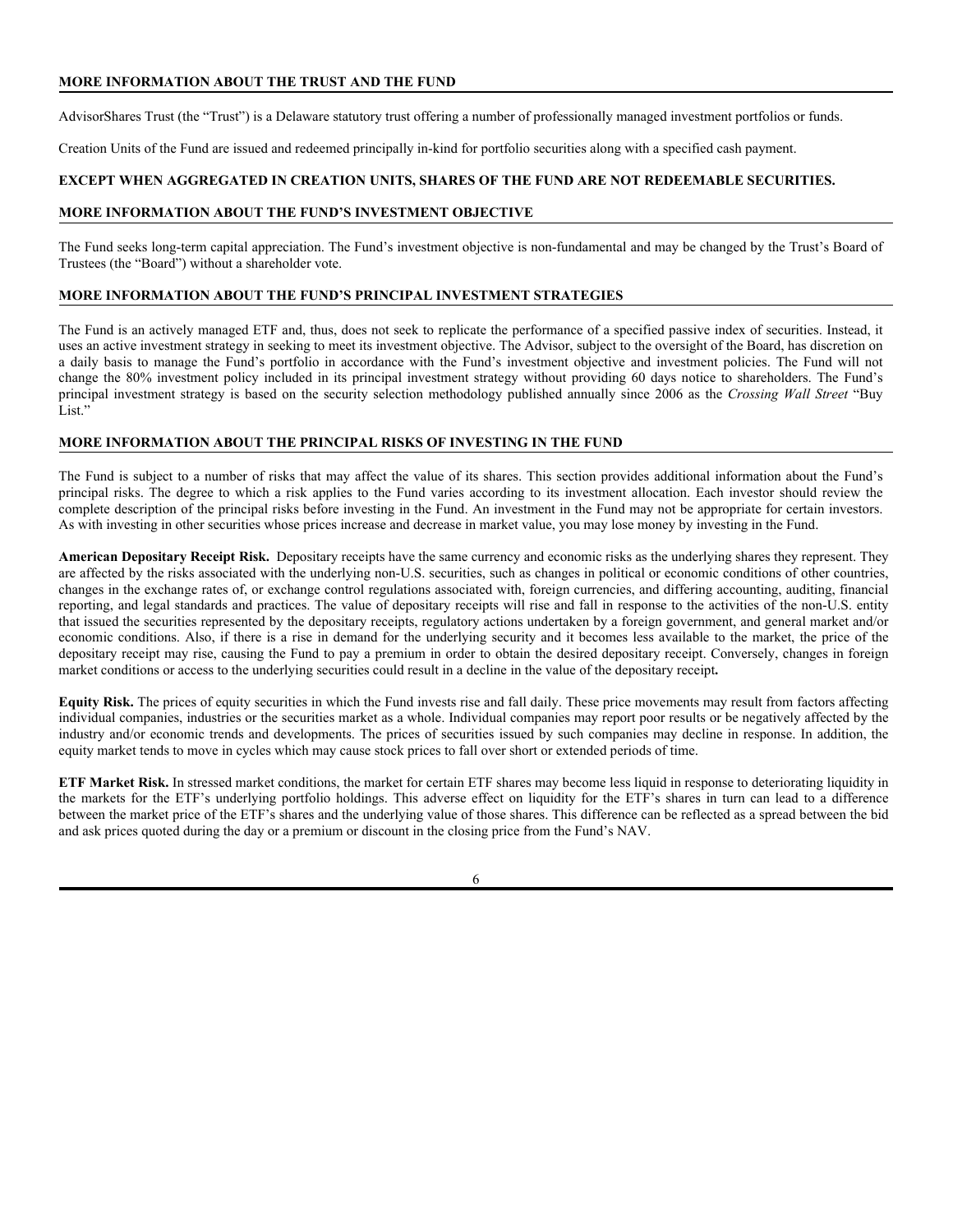## **MORE INFORMATION ABOUT THE TRUST AND THE FUND**

AdvisorShares Trust (the "Trust") is a Delaware statutory trust offering a number of professionally managed investment portfolios or funds.

Creation Units of the Fund are issued and redeemed principally in-kind for portfolio securities along with a specified cash payment.

## **EXCEPT WHEN AGGREGATED IN CREATION UNITS, SHARES OF THE FUND ARE NOT REDEEMABLE SECURITIES.**

#### **MORE INFORMATION ABOUT THE FUND'S INVESTMENT OBJECTIVE**

The Fund seeks long-term capital appreciation. The Fund's investment objective is non-fundamental and may be changed by the Trust's Board of Trustees (the "Board") without a shareholder vote.

## **MORE INFORMATION ABOUT THE FUND'S PRINCIPAL INVESTMENT STRATEGIES**

The Fund is an actively managed ETF and, thus, does not seek to replicate the performance of a specified passive index of securities. Instead, it uses an active investment strategy in seeking to meet its investment objective. The Advisor, subject to the oversight of the Board, has discretion on a daily basis to manage the Fund's portfolio in accordance with the Fund's investment objective and investment policies. The Fund will not change the 80% investment policy included in its principal investment strategy without providing 60 days notice to shareholders. The Fund's principal investment strategy is based on the security selection methodology published annually since 2006 as the *Crossing Wall Street* "Buy List."

## **MORE INFORMATION ABOUT THE PRINCIPAL RISKS OF INVESTING IN THE FUND**

The Fund is subject to a number of risks that may affect the value of its shares. This section provides additional information about the Fund's principal risks. The degree to which a risk applies to the Fund varies according to its investment allocation. Each investor should review the complete description of the principal risks before investing in the Fund. An investment in the Fund may not be appropriate for certain investors. As with investing in other securities whose prices increase and decrease in market value, you may lose money by investing in the Fund.

**American Depositary Receipt Risk.** Depositary receipts have the same currency and economic risks as the underlying shares they represent. They are affected by the risks associated with the underlying non-U.S. securities, such as changes in political or economic conditions of other countries, changes in the exchange rates of, or exchange control regulations associated with, foreign currencies, and differing accounting, auditing, financial reporting, and legal standards and practices. The value of depositary receipts will rise and fall in response to the activities of the non-U.S. entity that issued the securities represented by the depositary receipts, regulatory actions undertaken by a foreign government, and general market and/or economic conditions. Also, if there is a rise in demand for the underlying security and it becomes less available to the market, the price of the depositary receipt may rise, causing the Fund to pay a premium in order to obtain the desired depositary receipt. Conversely, changes in foreign market conditions or access to the underlying securities could result in a decline in the value of the depositary receipt**.**

**Equity Risk.** The prices of equity securities in which the Fund invests rise and fall daily. These price movements may result from factors affecting individual companies, industries or the securities market as a whole. Individual companies may report poor results or be negatively affected by the industry and/or economic trends and developments. The prices of securities issued by such companies may decline in response. In addition, the equity market tends to move in cycles which may cause stock prices to fall over short or extended periods of time.

**ETF Market Risk.** In stressed market conditions, the market for certain ETF shares may become less liquid in response to deteriorating liquidity in the markets for the ETF's underlying portfolio holdings. This adverse effect on liquidity for the ETF's shares in turn can lead to a difference between the market price of the ETF's shares and the underlying value of those shares. This difference can be reflected as a spread between the bid and ask prices quoted during the day or a premium or discount in the closing price from the Fund's NAV.

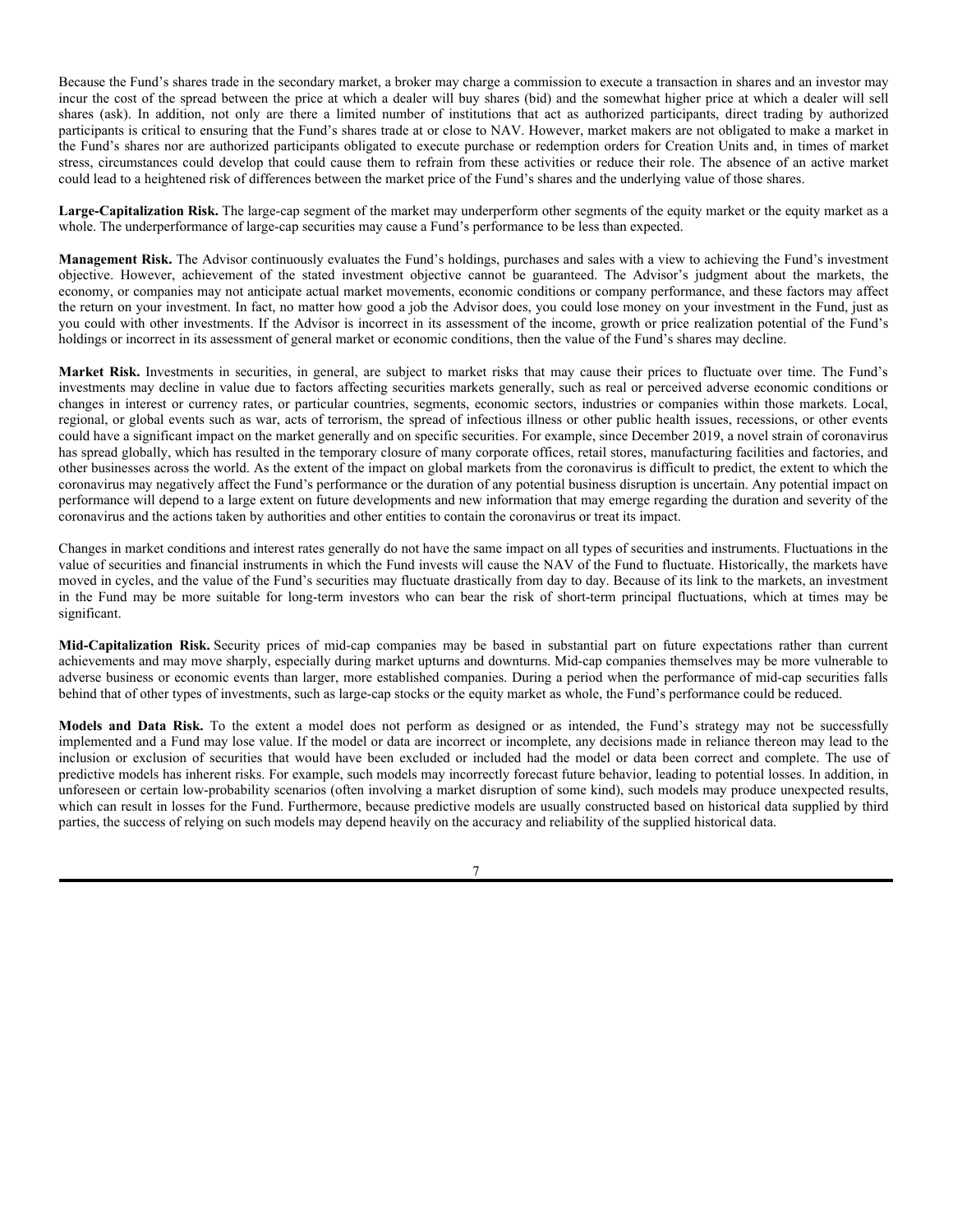Because the Fund's shares trade in the secondary market, a broker may charge a commission to execute a transaction in shares and an investor may incur the cost of the spread between the price at which a dealer will buy shares (bid) and the somewhat higher price at which a dealer will sell shares (ask). In addition, not only are there a limited number of institutions that act as authorized participants, direct trading by authorized participants is critical to ensuring that the Fund's shares trade at or close to NAV. However, market makers are not obligated to make a market in the Fund's shares nor are authorized participants obligated to execute purchase or redemption orders for Creation Units and, in times of market stress, circumstances could develop that could cause them to refrain from these activities or reduce their role. The absence of an active market could lead to a heightened risk of differences between the market price of the Fund's shares and the underlying value of those shares.

**Large-Capitalization Risk.** The large-cap segment of the market may underperform other segments of the equity market or the equity market as a whole. The underperformance of large-cap securities may cause a Fund's performance to be less than expected.

**Management Risk.** The Advisor continuously evaluates the Fund's holdings, purchases and sales with a view to achieving the Fund's investment objective. However, achievement of the stated investment objective cannot be guaranteed. The Advisor's judgment about the markets, the economy, or companies may not anticipate actual market movements, economic conditions or company performance, and these factors may affect the return on your investment. In fact, no matter how good a job the Advisor does, you could lose money on your investment in the Fund, just as you could with other investments. If the Advisor is incorrect in its assessment of the income, growth or price realization potential of the Fund's holdings or incorrect in its assessment of general market or economic conditions, then the value of the Fund's shares may decline.

**Market Risk.** Investments in securities, in general, are subject to market risks that may cause their prices to fluctuate over time. The Fund's investments may decline in value due to factors affecting securities markets generally, such as real or perceived adverse economic conditions or changes in interest or currency rates, or particular countries, segments, economic sectors, industries or companies within those markets. Local, regional, or global events such as war, acts of terrorism, the spread of infectious illness or other public health issues, recessions, or other events could have a significant impact on the market generally and on specific securities. For example, since December 2019, a novel strain of coronavirus has spread globally, which has resulted in the temporary closure of many corporate offices, retail stores, manufacturing facilities and factories, and other businesses across the world. As the extent of the impact on global markets from the coronavirus is difficult to predict, the extent to which the coronavirus may negatively affect the Fund's performance or the duration of any potential business disruption is uncertain. Any potential impact on performance will depend to a large extent on future developments and new information that may emerge regarding the duration and severity of the coronavirus and the actions taken by authorities and other entities to contain the coronavirus or treat its impact.

Changes in market conditions and interest rates generally do not have the same impact on all types of securities and instruments. Fluctuations in the value of securities and financial instruments in which the Fund invests will cause the NAV of the Fund to fluctuate. Historically, the markets have moved in cycles, and the value of the Fund's securities may fluctuate drastically from day to day. Because of its link to the markets, an investment in the Fund may be more suitable for long-term investors who can bear the risk of short-term principal fluctuations, which at times may be significant.

**Mid-Capitalization Risk.** Security prices of mid-cap companies may be based in substantial part on future expectations rather than current achievements and may move sharply, especially during market upturns and downturns. Mid-cap companies themselves may be more vulnerable to adverse business or economic events than larger, more established companies. During a period when the performance of mid-cap securities falls behind that of other types of investments, such as large-cap stocks or the equity market as whole, the Fund's performance could be reduced.

**Models and Data Risk.** To the extent a model does not perform as designed or as intended, the Fund's strategy may not be successfully implemented and a Fund may lose value. If the model or data are incorrect or incomplete, any decisions made in reliance thereon may lead to the inclusion or exclusion of securities that would have been excluded or included had the model or data been correct and complete. The use of predictive models has inherent risks. For example, such models may incorrectly forecast future behavior, leading to potential losses. In addition, in unforeseen or certain low-probability scenarios (often involving a market disruption of some kind), such models may produce unexpected results, which can result in losses for the Fund. Furthermore, because predictive models are usually constructed based on historical data supplied by third parties, the success of relying on such models may depend heavily on the accuracy and reliability of the supplied historical data.

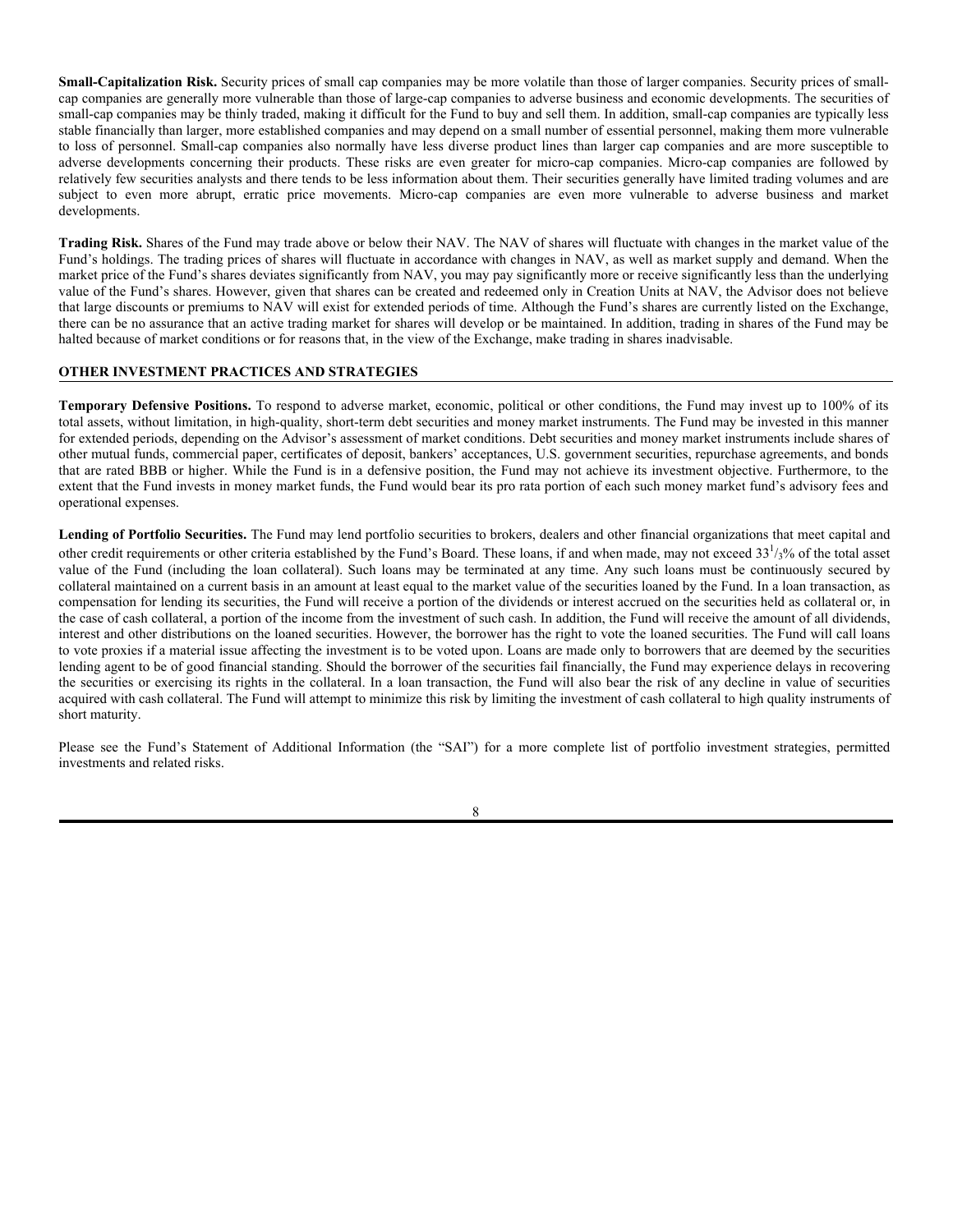**Small-Capitalization Risk.** Security prices of small cap companies may be more volatile than those of larger companies. Security prices of smallcap companies are generally more vulnerable than those of large-cap companies to adverse business and economic developments. The securities of small-cap companies may be thinly traded, making it difficult for the Fund to buy and sell them. In addition, small-cap companies are typically less stable financially than larger, more established companies and may depend on a small number of essential personnel, making them more vulnerable to loss of personnel. Small-cap companies also normally have less diverse product lines than larger cap companies and are more susceptible to adverse developments concerning their products. These risks are even greater for micro-cap companies. Micro-cap companies are followed by relatively few securities analysts and there tends to be less information about them. Their securities generally have limited trading volumes and are subject to even more abrupt, erratic price movements. Micro-cap companies are even more vulnerable to adverse business and market developments.

**Trading Risk.** Shares of the Fund may trade above or below their NAV. The NAV of shares will fluctuate with changes in the market value of the Fund's holdings. The trading prices of shares will fluctuate in accordance with changes in NAV, as well as market supply and demand. When the market price of the Fund's shares deviates significantly from NAV, you may pay significantly more or receive significantly less than the underlying value of the Fund's shares. However, given that shares can be created and redeemed only in Creation Units at NAV, the Advisor does not believe that large discounts or premiums to NAV will exist for extended periods of time. Although the Fund's shares are currently listed on the Exchange, there can be no assurance that an active trading market for shares will develop or be maintained. In addition, trading in shares of the Fund may be halted because of market conditions or for reasons that, in the view of the Exchange, make trading in shares inadvisable.

## **OTHER INVESTMENT PRACTICES AND STRATEGIES**

**Temporary Defensive Positions.** To respond to adverse market, economic, political or other conditions, the Fund may invest up to 100% of its total assets, without limitation, in high-quality, short-term debt securities and money market instruments. The Fund may be invested in this manner for extended periods, depending on the Advisor's assessment of market conditions. Debt securities and money market instruments include shares of other mutual funds, commercial paper, certificates of deposit, bankers' acceptances, U.S. government securities, repurchase agreements, and bonds that are rated BBB or higher. While the Fund is in a defensive position, the Fund may not achieve its investment objective. Furthermore, to the extent that the Fund invests in money market funds, the Fund would bear its pro rata portion of each such money market fund's advisory fees and operational expenses.

**Lending of Portfolio Securities.** The Fund may lend portfolio securities to brokers, dealers and other financial organizations that meet capital and other credit requirements or other criteria established by the Fund's Board. These loans, if and when made, may not exceed 33<sup>1</sup>/<sub>3</sub>% of the total asset value of the Fund (including the loan collateral). Such loans may be terminated at any time. Any such loans must be continuously secured by collateral maintained on a current basis in an amount at least equal to the market value of the securities loaned by the Fund. In a loan transaction, as compensation for lending its securities, the Fund will receive a portion of the dividends or interest accrued on the securities held as collateral or, in the case of cash collateral, a portion of the income from the investment of such cash. In addition, the Fund will receive the amount of all dividends, interest and other distributions on the loaned securities. However, the borrower has the right to vote the loaned securities. The Fund will call loans to vote proxies if a material issue affecting the investment is to be voted upon. Loans are made only to borrowers that are deemed by the securities lending agent to be of good financial standing. Should the borrower of the securities fail financially, the Fund may experience delays in recovering the securities or exercising its rights in the collateral. In a loan transaction, the Fund will also bear the risk of any decline in value of securities acquired with cash collateral. The Fund will attempt to minimize this risk by limiting the investment of cash collateral to high quality instruments of short maturity.

Please see the Fund's Statement of Additional Information (the "SAI") for a more complete list of portfolio investment strategies, permitted investments and related risks.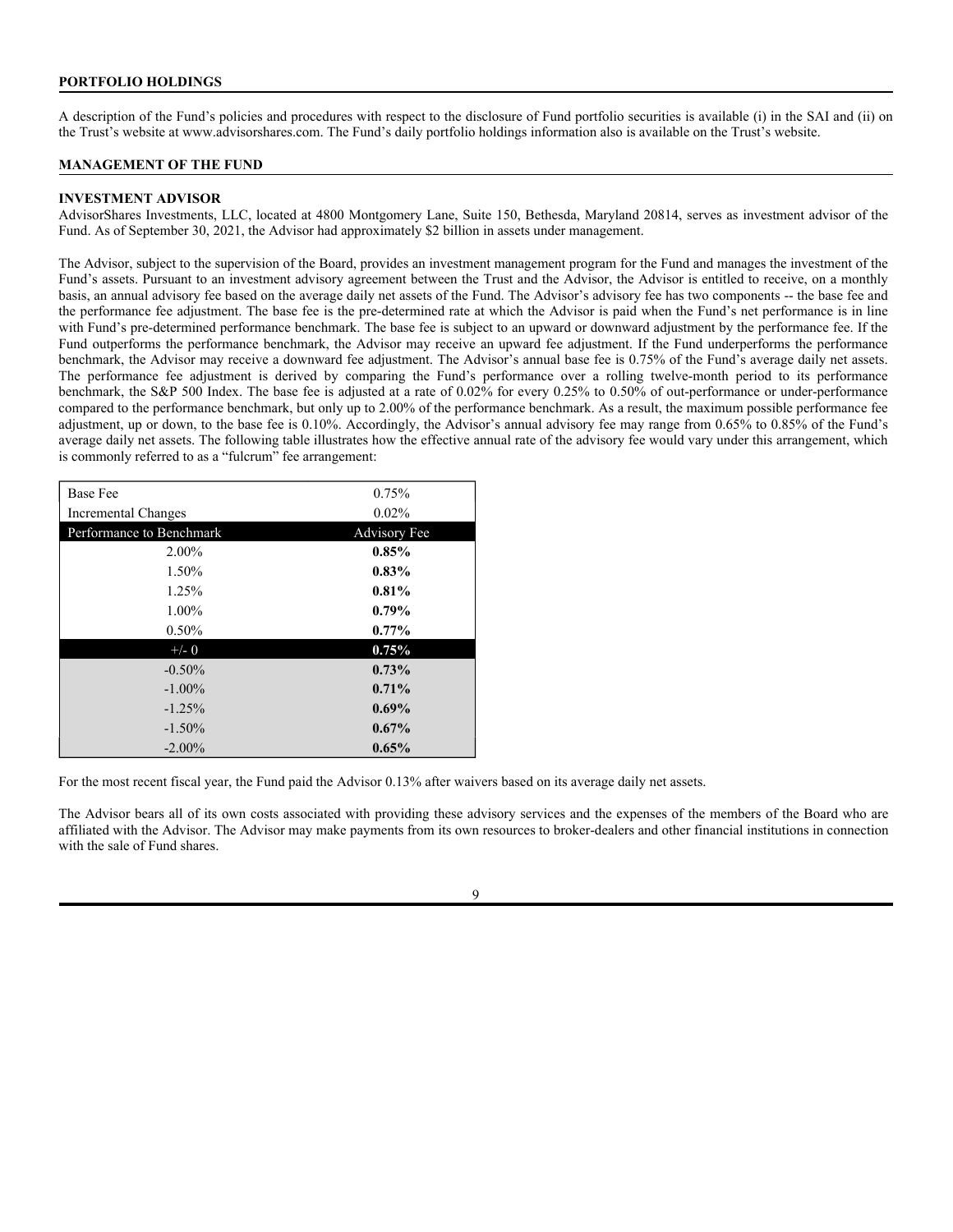## **PORTFOLIO HOLDINGS**

A description of the Fund's policies and procedures with respect to the disclosure of Fund portfolio securities is available (i) in the SAI and (ii) on the Trust's website at www.advisorshares.com. The Fund's daily portfolio holdings information also is available on the Trust's website.

#### **MANAGEMENT OF THE FUND**

#### **INVESTMENT ADVISOR**

AdvisorShares Investments, LLC, located at 4800 Montgomery Lane, Suite 150, Bethesda, Maryland 20814, serves as investment advisor of the Fund. As of September 30, 2021, the Advisor had approximately \$2 billion in assets under management.

The Advisor, subject to the supervision of the Board, provides an investment management program for the Fund and manages the investment of the Fund's assets. Pursuant to an investment advisory agreement between the Trust and the Advisor, the Advisor is entitled to receive, on a monthly basis, an annual advisory fee based on the average daily net assets of the Fund. The Advisor's advisory fee has two components -- the base fee and the performance fee adjustment. The base fee is the pre-determined rate at which the Advisor is paid when the Fund's net performance is in line with Fund's pre-determined performance benchmark. The base fee is subject to an upward or downward adjustment by the performance fee. If the Fund outperforms the performance benchmark, the Advisor may receive an upward fee adjustment. If the Fund underperforms the performance benchmark, the Advisor may receive a downward fee adjustment. The Advisor's annual base fee is 0.75% of the Fund's average daily net assets. The performance fee adjustment is derived by comparing the Fund's performance over a rolling twelve-month period to its performance benchmark, the S&P 500 Index. The base fee is adjusted at a rate of 0.02% for every 0.25% to 0.50% of out-performance or under-performance compared to the performance benchmark, but only up to 2.00% of the performance benchmark. As a result, the maximum possible performance fee adjustment, up or down, to the base fee is 0.10%. Accordingly, the Advisor's annual advisory fee may range from 0.65% to 0.85% of the Fund's average daily net assets. The following table illustrates how the effective annual rate of the advisory fee would vary under this arrangement, which is commonly referred to as a "fulcrum" fee arrangement:

| <b>Base Fee</b>            | 0.75%               |
|----------------------------|---------------------|
| <b>Incremental Changes</b> | 0.02%               |
| Performance to Benchmark   | <b>Advisory</b> Fee |
| 2.00%                      | 0.85%               |
| 1.50%                      | $0.83\%$            |
| 1.25%                      | 0.81%               |
| 1.00%                      | $0.79\%$            |
| $0.50\%$                   | $0.77\%$            |
| $+/- 0$                    | 0.75%               |
| $-0.50%$                   | 0.73%               |
| $-1.00\%$                  | $0.71\%$            |
| $-1.25%$                   | $0.69\%$            |
| $-1.50\%$                  | $0.67\%$            |
| $-2.00\%$                  | 0.65%               |

For the most recent fiscal year, the Fund paid the Advisor 0.13% after waivers based on its average daily net assets.

The Advisor bears all of its own costs associated with providing these advisory services and the expenses of the members of the Board who are affiliated with the Advisor. The Advisor may make payments from its own resources to broker-dealers and other financial institutions in connection with the sale of Fund shares.

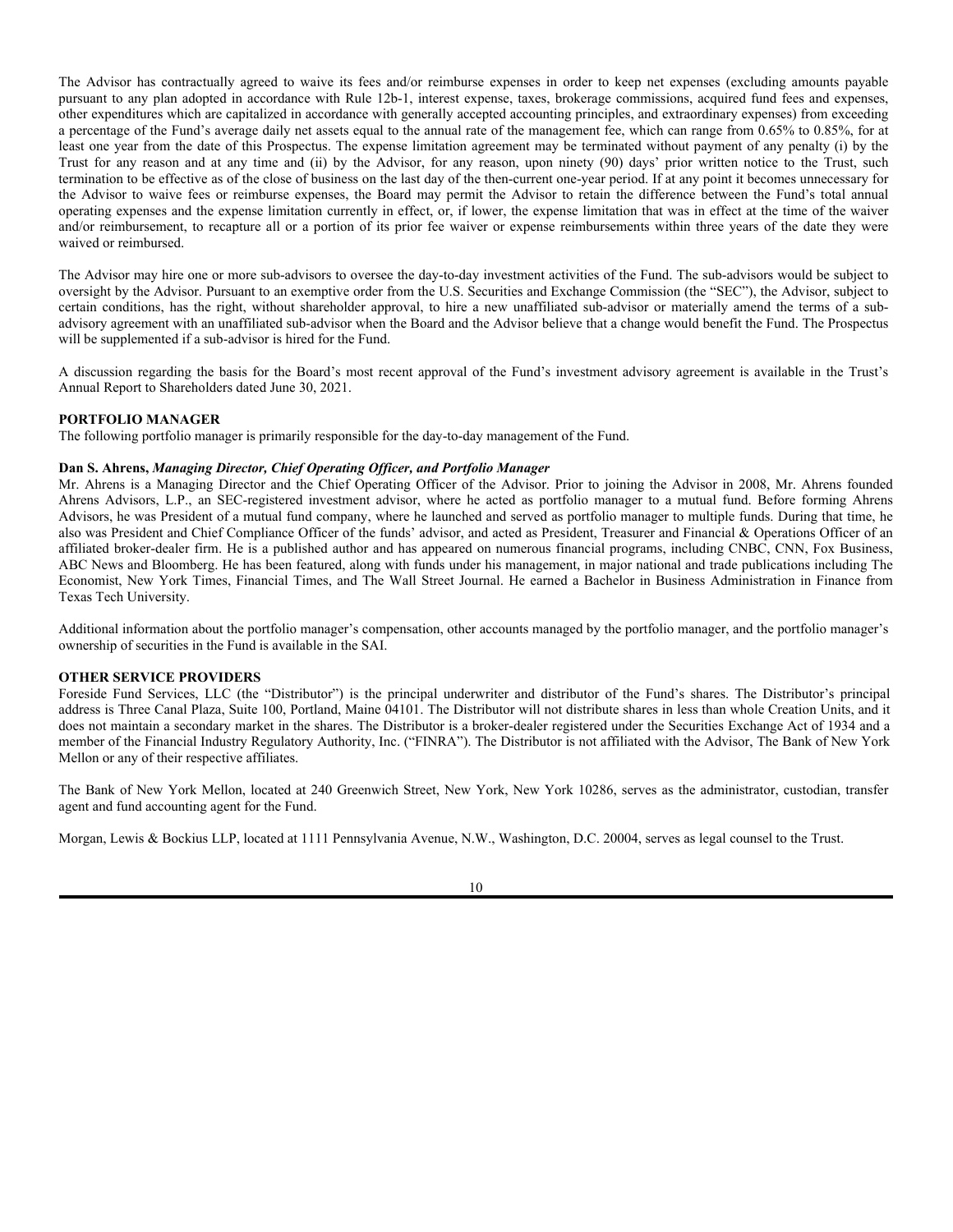The Advisor has contractually agreed to waive its fees and/or reimburse expenses in order to keep net expenses (excluding amounts payable pursuant to any plan adopted in accordance with Rule 12b-1, interest expense, taxes, brokerage commissions, acquired fund fees and expenses, other expenditures which are capitalized in accordance with generally accepted accounting principles, and extraordinary expenses) from exceeding a percentage of the Fund's average daily net assets equal to the annual rate of the management fee, which can range from 0.65% to 0.85%, for at least one year from the date of this Prospectus. The expense limitation agreement may be terminated without payment of any penalty (i) by the Trust for any reason and at any time and (ii) by the Advisor, for any reason, upon ninety (90) days' prior written notice to the Trust, such termination to be effective as of the close of business on the last day of the then-current one-year period. If at any point it becomes unnecessary for the Advisor to waive fees or reimburse expenses, the Board may permit the Advisor to retain the difference between the Fund's total annual operating expenses and the expense limitation currently in effect, or, if lower, the expense limitation that was in effect at the time of the waiver and/or reimbursement, to recapture all or a portion of its prior fee waiver or expense reimbursements within three years of the date they were waived or reimbursed.

The Advisor may hire one or more sub-advisors to oversee the day-to-day investment activities of the Fund. The sub-advisors would be subject to oversight by the Advisor. Pursuant to an exemptive order from the U.S. Securities and Exchange Commission (the "SEC"), the Advisor, subject to certain conditions, has the right, without shareholder approval, to hire a new unaffiliated sub-advisor or materially amend the terms of a subadvisory agreement with an unaffiliated sub-advisor when the Board and the Advisor believe that a change would benefit the Fund. The Prospectus will be supplemented if a sub-advisor is hired for the Fund.

A discussion regarding the basis for the Board's most recent approval of the Fund's investment advisory agreement is available in the Trust's Annual Report to Shareholders dated June 30, 2021.

#### **PORTFOLIO MANAGER**

The following portfolio manager is primarily responsible for the day-to-day management of the Fund.

#### **Dan S. Ahrens,** *Managing Director, Chief Operating Officer, and Portfolio Manager*

Mr. Ahrens is a Managing Director and the Chief Operating Officer of the Advisor. Prior to joining the Advisor in 2008, Mr. Ahrens founded Ahrens Advisors, L.P., an SEC-registered investment advisor, where he acted as portfolio manager to a mutual fund. Before forming Ahrens Advisors, he was President of a mutual fund company, where he launched and served as portfolio manager to multiple funds. During that time, he also was President and Chief Compliance Officer of the funds' advisor, and acted as President, Treasurer and Financial & Operations Officer of an affiliated broker-dealer firm. He is a published author and has appeared on numerous financial programs, including CNBC, CNN, Fox Business, ABC News and Bloomberg. He has been featured, along with funds under his management, in major national and trade publications including The Economist, New York Times, Financial Times, and The Wall Street Journal. He earned a Bachelor in Business Administration in Finance from Texas Tech University.

Additional information about the portfolio manager's compensation, other accounts managed by the portfolio manager, and the portfolio manager's ownership of securities in the Fund is available in the SAI.

#### **OTHER SERVICE PROVIDERS**

Foreside Fund Services, LLC (the "Distributor") is the principal underwriter and distributor of the Fund's shares. The Distributor's principal address is Three Canal Plaza, Suite 100, Portland, Maine 04101. The Distributor will not distribute shares in less than whole Creation Units, and it does not maintain a secondary market in the shares. The Distributor is a broker-dealer registered under the Securities Exchange Act of 1934 and a member of the Financial Industry Regulatory Authority, Inc. ("FINRA"). The Distributor is not affiliated with the Advisor, The Bank of New York Mellon or any of their respective affiliates.

The Bank of New York Mellon, located at 240 Greenwich Street, New York, New York 10286, serves as the administrator, custodian, transfer agent and fund accounting agent for the Fund.

Morgan, Lewis & Bockius LLP, located at 1111 Pennsylvania Avenue, N.W., Washington, D.C. 20004, serves as legal counsel to the Trust.

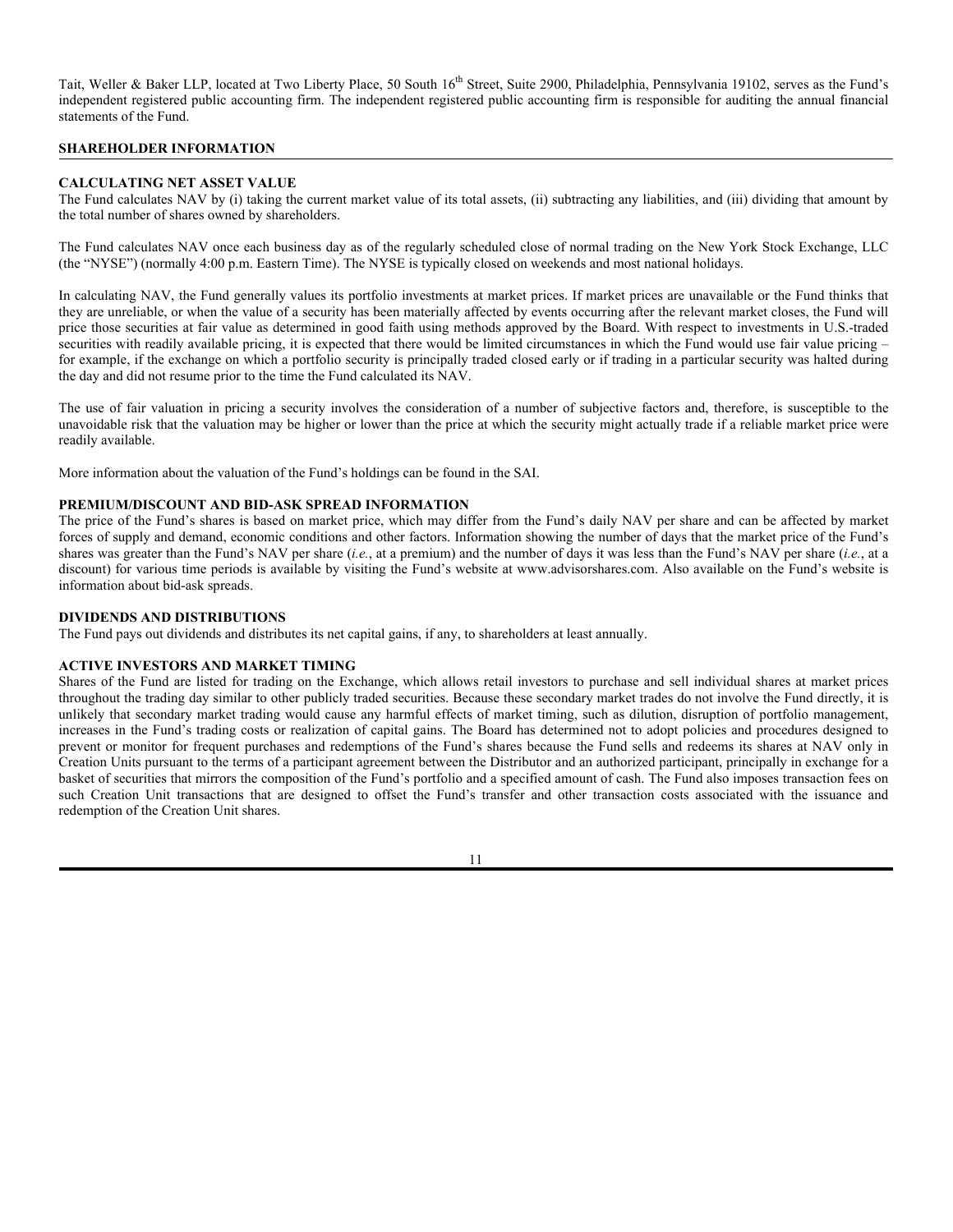Tait, Weller & Baker LLP, located at Two Liberty Place, 50 South 16<sup>th</sup> Street, Suite 2900, Philadelphia, Pennsylvania 19102, serves as the Fund's independent registered public accounting firm. The independent registered public accounting firm is responsible for auditing the annual financial statements of the Fund.

## **SHAREHOLDER INFORMATION**

#### **CALCULATING NET ASSET VALUE**

The Fund calculates NAV by (i) taking the current market value of its total assets, (ii) subtracting any liabilities, and (iii) dividing that amount by the total number of shares owned by shareholders.

The Fund calculates NAV once each business day as of the regularly scheduled close of normal trading on the New York Stock Exchange, LLC (the "NYSE") (normally 4:00 p.m. Eastern Time). The NYSE is typically closed on weekends and most national holidays.

In calculating NAV, the Fund generally values its portfolio investments at market prices. If market prices are unavailable or the Fund thinks that they are unreliable, or when the value of a security has been materially affected by events occurring after the relevant market closes, the Fund will price those securities at fair value as determined in good faith using methods approved by the Board. With respect to investments in U.S.-traded securities with readily available pricing, it is expected that there would be limited circumstances in which the Fund would use fair value pricing – for example, if the exchange on which a portfolio security is principally traded closed early or if trading in a particular security was halted during the day and did not resume prior to the time the Fund calculated its NAV.

The use of fair valuation in pricing a security involves the consideration of a number of subjective factors and, therefore, is susceptible to the unavoidable risk that the valuation may be higher or lower than the price at which the security might actually trade if a reliable market price were readily available.

More information about the valuation of the Fund's holdings can be found in the SAI.

### **PREMIUM/DISCOUNT AND BID-ASK SPREAD INFORMATION**

The price of the Fund's shares is based on market price, which may differ from the Fund's daily NAV per share and can be affected by market forces of supply and demand, economic conditions and other factors. Information showing the number of days that the market price of the Fund's shares was greater than the Fund's NAV per share (*i.e.*, at a premium) and the number of days it was less than the Fund's NAV per share (*i.e.*, at a discount) for various time periods is available by visiting the Fund's website at www.advisorshares.com. Also available on the Fund's website is information about bid-ask spreads.

#### **DIVIDENDS AND DISTRIBUTIONS**

The Fund pays out dividends and distributes its net capital gains, if any, to shareholders at least annually.

#### **ACTIVE INVESTORS AND MARKET TIMING**

Shares of the Fund are listed for trading on the Exchange, which allows retail investors to purchase and sell individual shares at market prices throughout the trading day similar to other publicly traded securities. Because these secondary market trades do not involve the Fund directly, it is unlikely that secondary market trading would cause any harmful effects of market timing, such as dilution, disruption of portfolio management, increases in the Fund's trading costs or realization of capital gains. The Board has determined not to adopt policies and procedures designed to prevent or monitor for frequent purchases and redemptions of the Fund's shares because the Fund sells and redeems its shares at NAV only in Creation Units pursuant to the terms of a participant agreement between the Distributor and an authorized participant, principally in exchange for a basket of securities that mirrors the composition of the Fund's portfolio and a specified amount of cash. The Fund also imposes transaction fees on such Creation Unit transactions that are designed to offset the Fund's transfer and other transaction costs associated with the issuance and redemption of the Creation Unit shares.

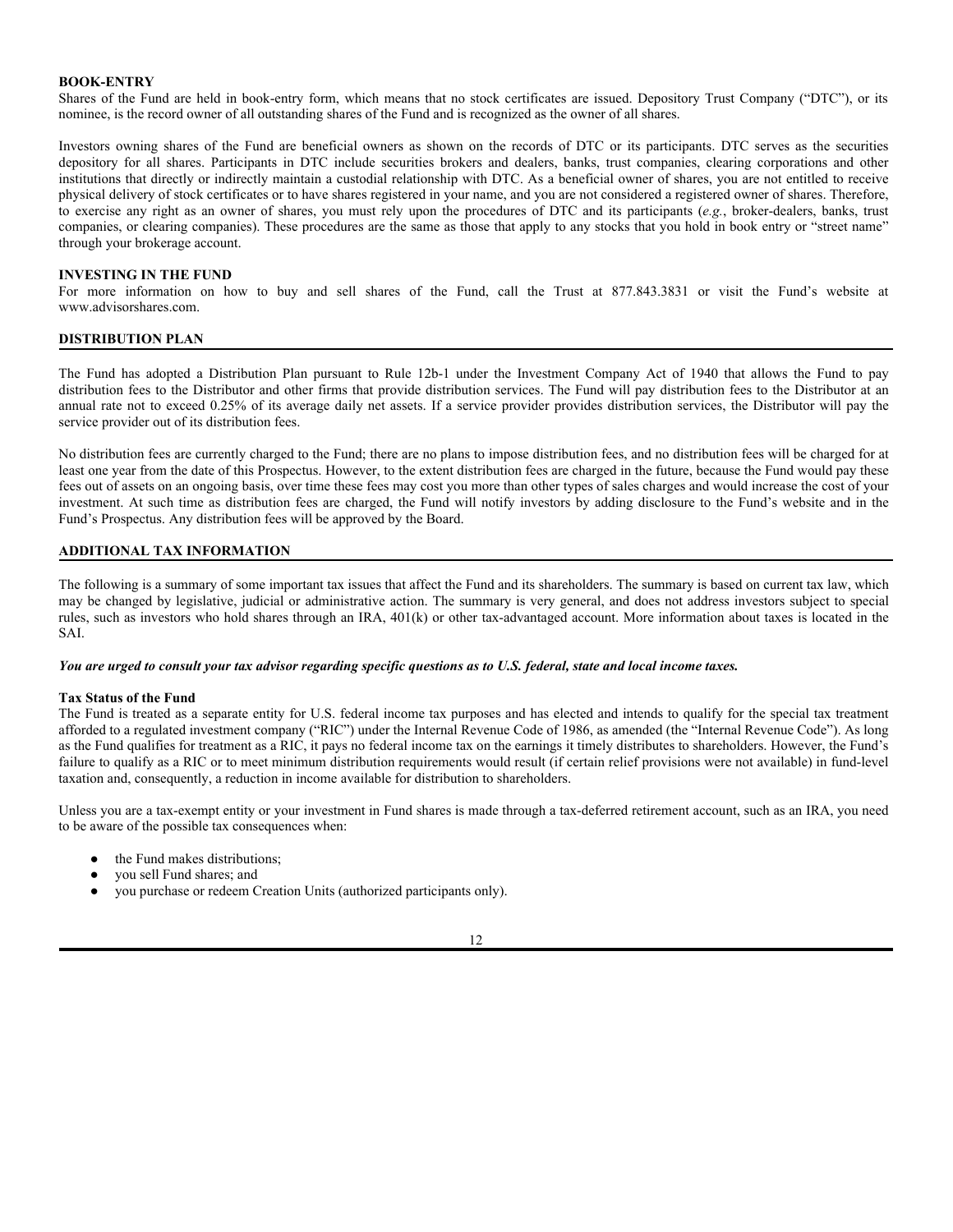#### **BOOK-ENTRY**

Shares of the Fund are held in book-entry form, which means that no stock certificates are issued. Depository Trust Company ("DTC"), or its nominee, is the record owner of all outstanding shares of the Fund and is recognized as the owner of all shares.

Investors owning shares of the Fund are beneficial owners as shown on the records of DTC or its participants. DTC serves as the securities depository for all shares. Participants in DTC include securities brokers and dealers, banks, trust companies, clearing corporations and other institutions that directly or indirectly maintain a custodial relationship with DTC. As a beneficial owner of shares, you are not entitled to receive physical delivery of stock certificates or to have shares registered in your name, and you are not considered a registered owner of shares. Therefore, to exercise any right as an owner of shares, you must rely upon the procedures of DTC and its participants (*e.g.*, broker-dealers, banks, trust companies, or clearing companies). These procedures are the same as those that apply to any stocks that you hold in book entry or "street name" through your brokerage account.

#### **INVESTING IN THE FUND**

For more information on how to buy and sell shares of the Fund, call the Trust at 877.843.3831 or visit the Fund's website at www.advisorshares.com.

## **DISTRIBUTION PLAN**

The Fund has adopted a Distribution Plan pursuant to Rule 12b-1 under the Investment Company Act of 1940 that allows the Fund to pay distribution fees to the Distributor and other firms that provide distribution services. The Fund will pay distribution fees to the Distributor at an annual rate not to exceed 0.25% of its average daily net assets. If a service provider provides distribution services, the Distributor will pay the service provider out of its distribution fees.

No distribution fees are currently charged to the Fund; there are no plans to impose distribution fees, and no distribution fees will be charged for at least one year from the date of this Prospectus. However, to the extent distribution fees are charged in the future, because the Fund would pay these fees out of assets on an ongoing basis, over time these fees may cost you more than other types of sales charges and would increase the cost of your investment. At such time as distribution fees are charged, the Fund will notify investors by adding disclosure to the Fund's website and in the Fund's Prospectus. Any distribution fees will be approved by the Board.

## **ADDITIONAL TAX INFORMATION**

The following is a summary of some important tax issues that affect the Fund and its shareholders. The summary is based on current tax law, which may be changed by legislative, judicial or administrative action. The summary is very general, and does not address investors subject to special rules, such as investors who hold shares through an IRA, 401(k) or other tax-advantaged account. More information about taxes is located in the SAI.

*You are urged to consult your tax advisor regarding specific questions as to U.S. federal, state and local income taxes.*

#### **Tax Status of the Fund**

The Fund is treated as a separate entity for U.S. federal income tax purposes and has elected and intends to qualify for the special tax treatment afforded to a regulated investment company ("RIC") under the Internal Revenue Code of 1986, as amended (the "Internal Revenue Code"). As long as the Fund qualifies for treatment as a RIC, it pays no federal income tax on the earnings it timely distributes to shareholders. However, the Fund's failure to qualify as a RIC or to meet minimum distribution requirements would result (if certain relief provisions were not available) in fund-level taxation and, consequently, a reduction in income available for distribution to shareholders.

Unless you are a tax-exempt entity or your investment in Fund shares is made through a tax-deferred retirement account, such as an IRA, you need to be aware of the possible tax consequences when:

- the Fund makes distributions:
- you sell Fund shares; and
- you purchase or redeem Creation Units (authorized participants only).

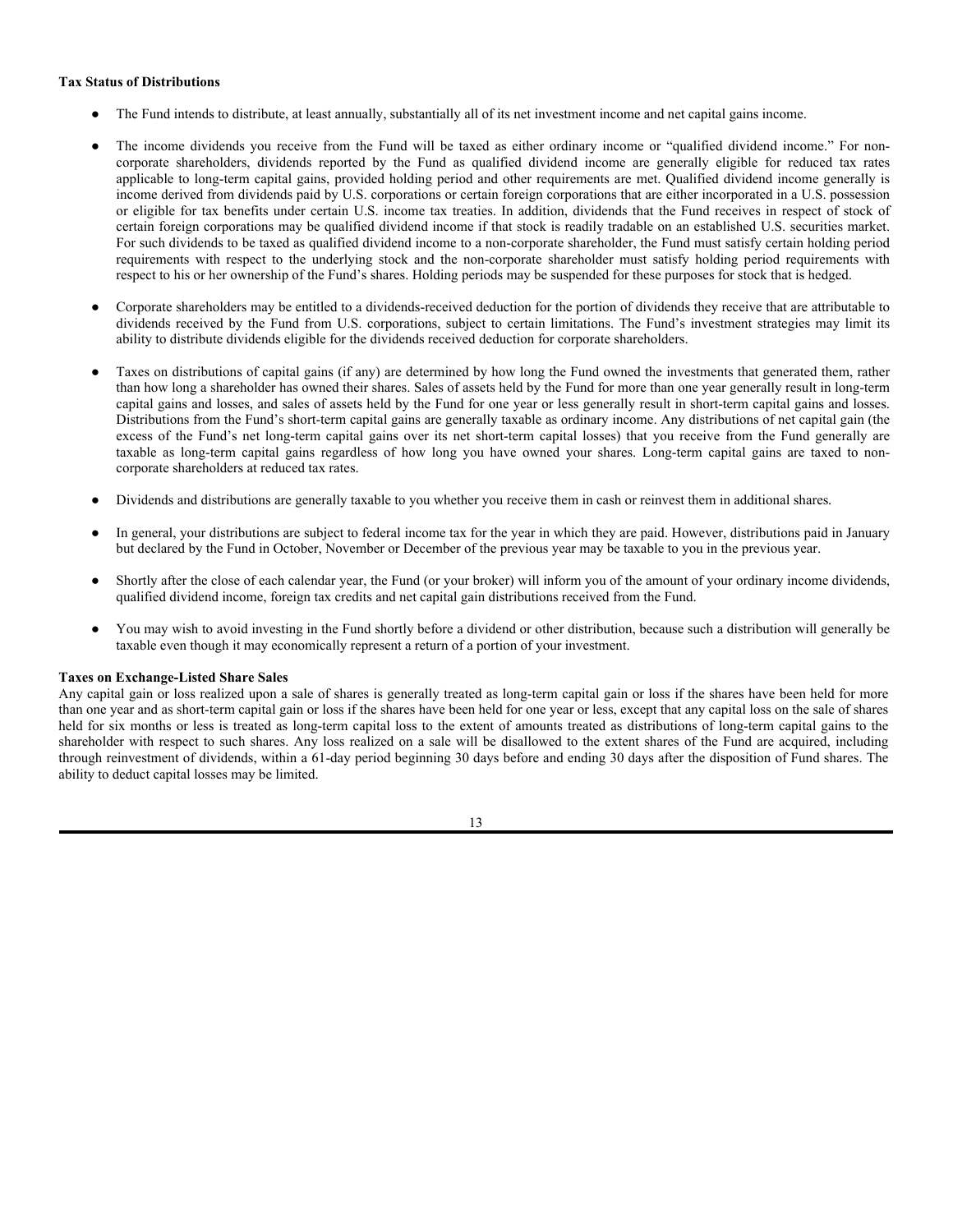#### **Tax Status of Distributions**

- The Fund intends to distribute, at least annually, substantially all of its net investment income and net capital gains income.
- The income dividends you receive from the Fund will be taxed as either ordinary income or "qualified dividend income." For noncorporate shareholders, dividends reported by the Fund as qualified dividend income are generally eligible for reduced tax rates applicable to long-term capital gains, provided holding period and other requirements are met. Qualified dividend income generally is income derived from dividends paid by U.S. corporations or certain foreign corporations that are either incorporated in a U.S. possession or eligible for tax benefits under certain U.S. income tax treaties. In addition, dividends that the Fund receives in respect of stock of certain foreign corporations may be qualified dividend income if that stock is readily tradable on an established U.S. securities market. For such dividends to be taxed as qualified dividend income to a non-corporate shareholder, the Fund must satisfy certain holding period requirements with respect to the underlying stock and the non-corporate shareholder must satisfy holding period requirements with respect to his or her ownership of the Fund's shares. Holding periods may be suspended for these purposes for stock that is hedged.
- Corporate shareholders may be entitled to a dividends-received deduction for the portion of dividends they receive that are attributable to dividends received by the Fund from U.S. corporations, subject to certain limitations. The Fund's investment strategies may limit its ability to distribute dividends eligible for the dividends received deduction for corporate shareholders.
- Taxes on distributions of capital gains (if any) are determined by how long the Fund owned the investments that generated them, rather than how long a shareholder has owned their shares. Sales of assets held by the Fund for more than one year generally result in long-term capital gains and losses, and sales of assets held by the Fund for one year or less generally result in short-term capital gains and losses. Distributions from the Fund's short-term capital gains are generally taxable as ordinary income. Any distributions of net capital gain (the excess of the Fund's net long-term capital gains over its net short-term capital losses) that you receive from the Fund generally are taxable as long-term capital gains regardless of how long you have owned your shares. Long-term capital gains are taxed to noncorporate shareholders at reduced tax rates.
- Dividends and distributions are generally taxable to you whether you receive them in cash or reinvest them in additional shares.
- In general, your distributions are subject to federal income tax for the year in which they are paid. However, distributions paid in January but declared by the Fund in October, November or December of the previous year may be taxable to you in the previous year.
- Shortly after the close of each calendar year, the Fund (or your broker) will inform you of the amount of your ordinary income dividends, qualified dividend income, foreign tax credits and net capital gain distributions received from the Fund.
- You may wish to avoid investing in the Fund shortly before a dividend or other distribution, because such a distribution will generally be taxable even though it may economically represent a return of a portion of your investment.

#### **Taxes on Exchange-Listed Share Sales**

Any capital gain or loss realized upon a sale of shares is generally treated as long-term capital gain or loss if the shares have been held for more than one year and as short-term capital gain or loss if the shares have been held for one year or less, except that any capital loss on the sale of shares held for six months or less is treated as long-term capital loss to the extent of amounts treated as distributions of long-term capital gains to the shareholder with respect to such shares. Any loss realized on a sale will be disallowed to the extent shares of the Fund are acquired, including through reinvestment of dividends, within a 61-day period beginning 30 days before and ending 30 days after the disposition of Fund shares. The ability to deduct capital losses may be limited.

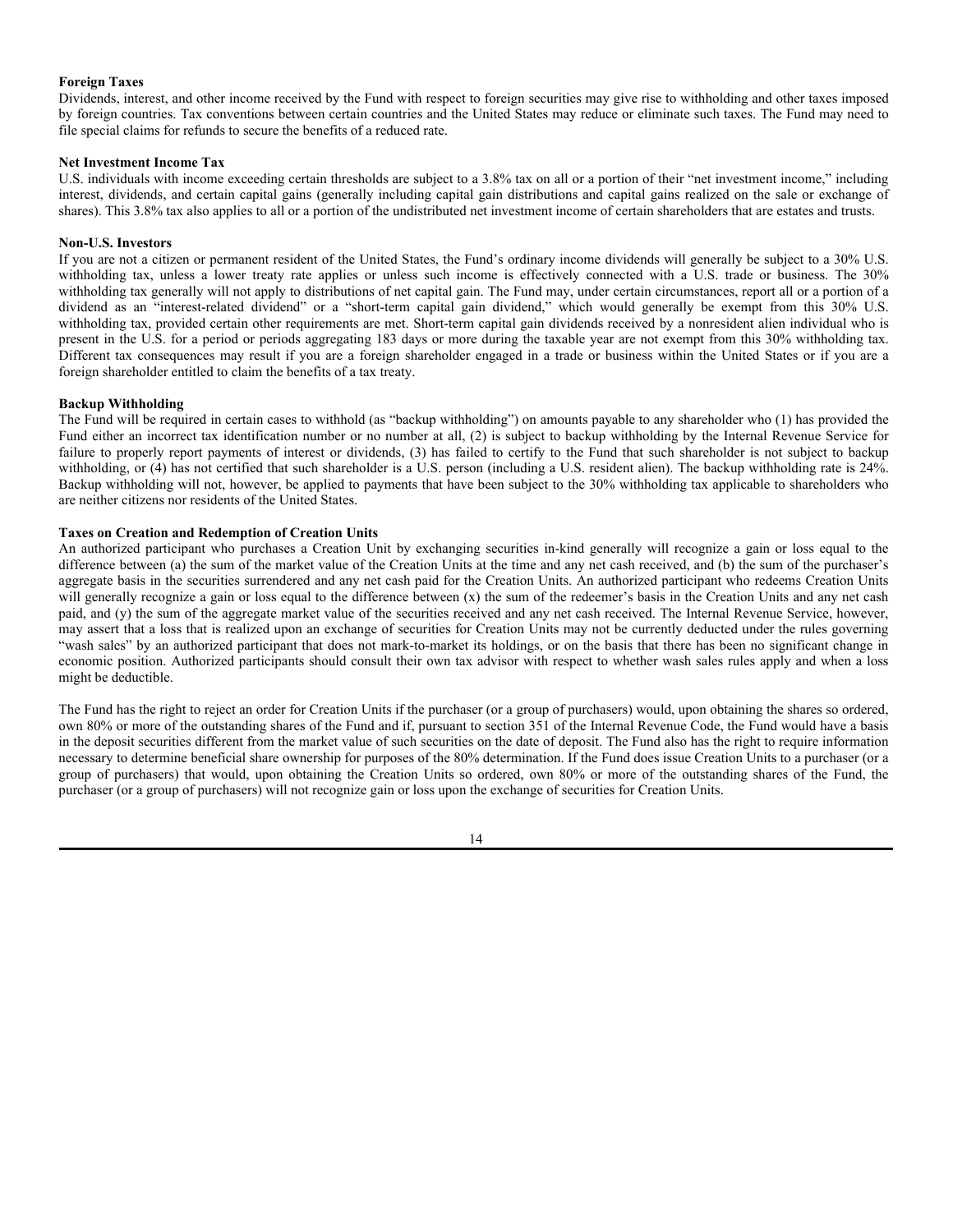### **Foreign Taxes**

Dividends, interest, and other income received by the Fund with respect to foreign securities may give rise to withholding and other taxes imposed by foreign countries. Tax conventions between certain countries and the United States may reduce or eliminate such taxes. The Fund may need to file special claims for refunds to secure the benefits of a reduced rate.

## **Net Investment Income Tax**

U.S. individuals with income exceeding certain thresholds are subject to a 3.8% tax on all or a portion of their "net investment income," including interest, dividends, and certain capital gains (generally including capital gain distributions and capital gains realized on the sale or exchange of shares). This 3.8% tax also applies to all or a portion of the undistributed net investment income of certain shareholders that are estates and trusts.

## **Non-U.S. Investors**

If you are not a citizen or permanent resident of the United States, the Fund's ordinary income dividends will generally be subject to a 30% U.S. withholding tax, unless a lower treaty rate applies or unless such income is effectively connected with a U.S. trade or business. The 30% withholding tax generally will not apply to distributions of net capital gain. The Fund may, under certain circumstances, report all or a portion of a dividend as an "interest-related dividend" or a "short-term capital gain dividend," which would generally be exempt from this 30% U.S. withholding tax, provided certain other requirements are met. Short-term capital gain dividends received by a nonresident alien individual who is present in the U.S. for a period or periods aggregating 183 days or more during the taxable year are not exempt from this 30% withholding tax. Different tax consequences may result if you are a foreign shareholder engaged in a trade or business within the United States or if you are a foreign shareholder entitled to claim the benefits of a tax treaty.

## **Backup Withholding**

The Fund will be required in certain cases to withhold (as "backup withholding") on amounts payable to any shareholder who (1) has provided the Fund either an incorrect tax identification number or no number at all, (2) is subject to backup withholding by the Internal Revenue Service for failure to properly report payments of interest or dividends, (3) has failed to certify to the Fund that such shareholder is not subject to backup withholding, or (4) has not certified that such shareholder is a U.S. person (including a U.S. resident alien). The backup withholding rate is 24%. Backup withholding will not, however, be applied to payments that have been subject to the 30% withholding tax applicable to shareholders who are neither citizens nor residents of the United States.

## **Taxes on Creation and Redemption of Creation Units**

An authorized participant who purchases a Creation Unit by exchanging securities in-kind generally will recognize a gain or loss equal to the difference between (a) the sum of the market value of the Creation Units at the time and any net cash received, and (b) the sum of the purchaser's aggregate basis in the securities surrendered and any net cash paid for the Creation Units. An authorized participant who redeems Creation Units will generally recognize a gain or loss equal to the difference between (x) the sum of the redeemer's basis in the Creation Units and any net cash paid, and (y) the sum of the aggregate market value of the securities received and any net cash received. The Internal Revenue Service, however, may assert that a loss that is realized upon an exchange of securities for Creation Units may not be currently deducted under the rules governing "wash sales" by an authorized participant that does not mark-to-market its holdings, or on the basis that there has been no significant change in economic position. Authorized participants should consult their own tax advisor with respect to whether wash sales rules apply and when a loss might be deductible.

The Fund has the right to reject an order for Creation Units if the purchaser (or a group of purchasers) would, upon obtaining the shares so ordered, own 80% or more of the outstanding shares of the Fund and if, pursuant to section 351 of the Internal Revenue Code, the Fund would have a basis in the deposit securities different from the market value of such securities on the date of deposit. The Fund also has the right to require information necessary to determine beneficial share ownership for purposes of the 80% determination. If the Fund does issue Creation Units to a purchaser (or a group of purchasers) that would, upon obtaining the Creation Units so ordered, own 80% or more of the outstanding shares of the Fund, the purchaser (or a group of purchasers) will not recognize gain or loss upon the exchange of securities for Creation Units.

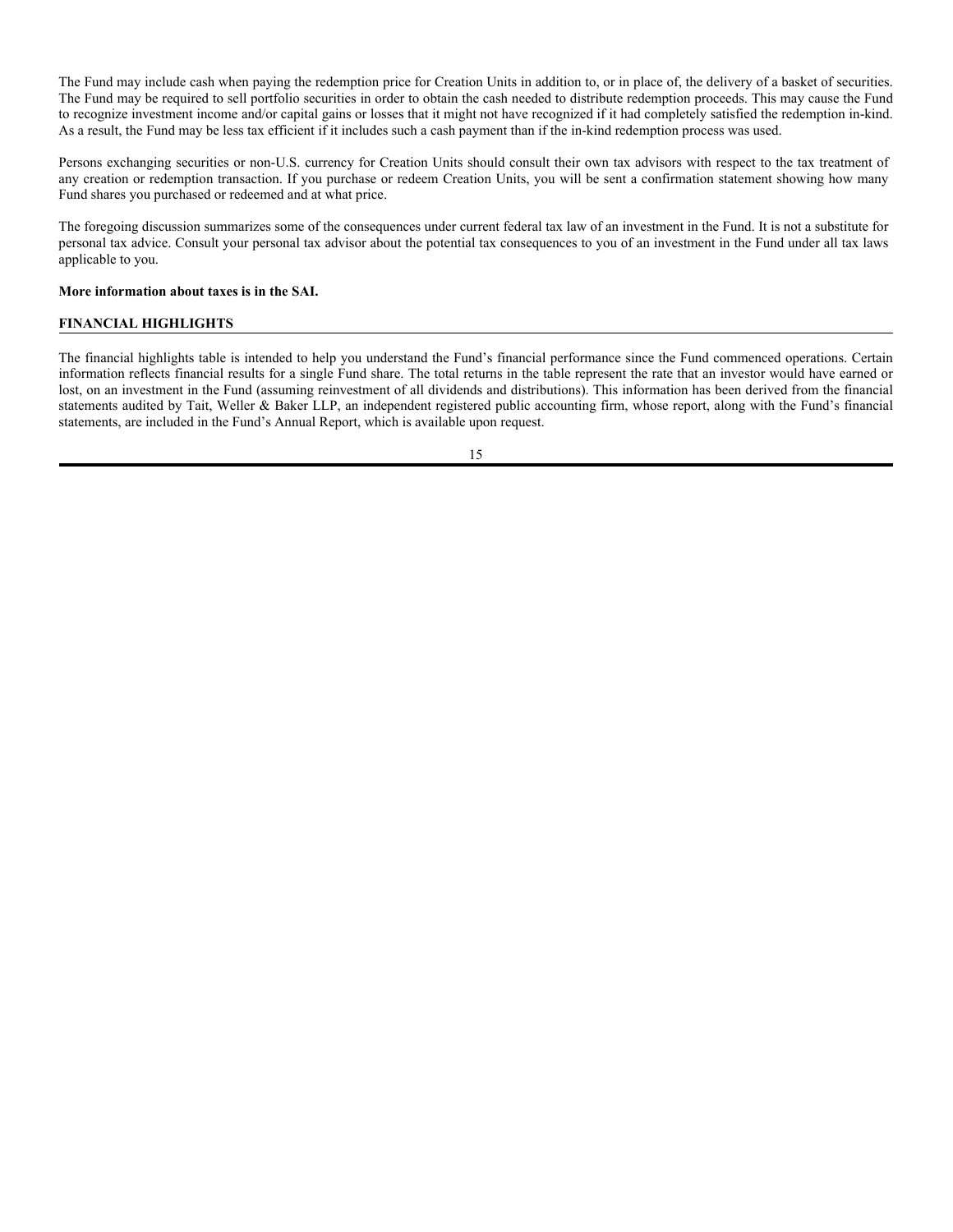The Fund may include cash when paying the redemption price for Creation Units in addition to, or in place of, the delivery of a basket of securities. The Fund may be required to sell portfolio securities in order to obtain the cash needed to distribute redemption proceeds. This may cause the Fund to recognize investment income and/or capital gains or losses that it might not have recognized if it had completely satisfied the redemption in-kind. As a result, the Fund may be less tax efficient if it includes such a cash payment than if the in-kind redemption process was used.

Persons exchanging securities or non-U.S. currency for Creation Units should consult their own tax advisors with respect to the tax treatment of any creation or redemption transaction. If you purchase or redeem Creation Units, you will be sent a confirmation statement showing how many Fund shares you purchased or redeemed and at what price.

The foregoing discussion summarizes some of the consequences under current federal tax law of an investment in the Fund. It is not a substitute for personal tax advice. Consult your personal tax advisor about the potential tax consequences to you of an investment in the Fund under all tax laws applicable to you.

#### **More information about taxes is in the SAI.**

## **FINANCIAL HIGHLIGHTS**

The financial highlights table is intended to help you understand the Fund's financial performance since the Fund commenced operations. Certain information reflects financial results for a single Fund share. The total returns in the table represent the rate that an investor would have earned or lost, on an investment in the Fund (assuming reinvestment of all dividends and distributions). This information has been derived from the financial statements audited by Tait, Weller & Baker LLP, an independent registered public accounting firm, whose report, along with the Fund's financial statements, are included in the Fund's Annual Report, which is available upon request.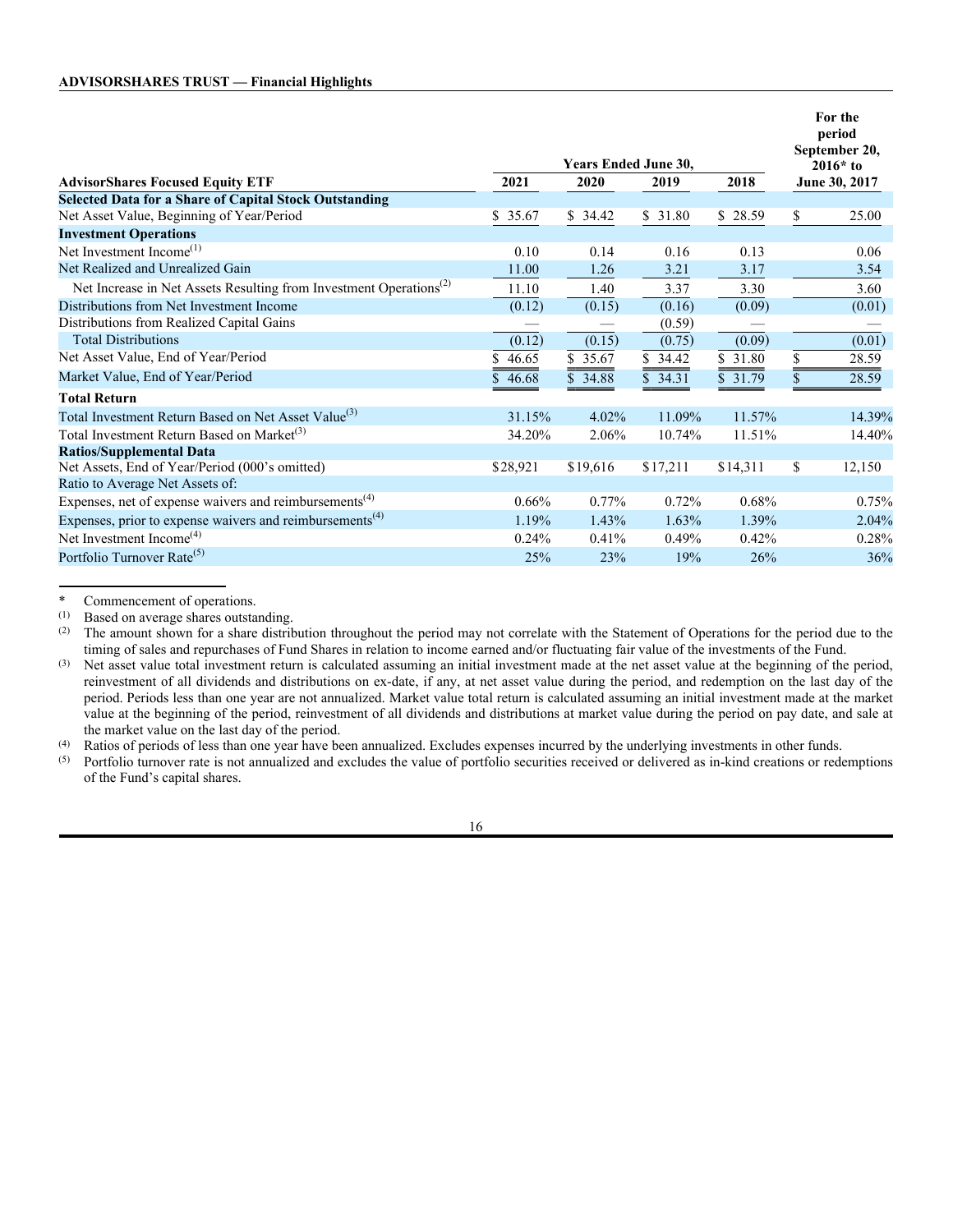|                                                                                |                             |          |             |          |            | For the<br>period<br>September 20, |
|--------------------------------------------------------------------------------|-----------------------------|----------|-------------|----------|------------|------------------------------------|
|                                                                                | <b>Years Ended June 30,</b> |          |             |          | $2016*$ to |                                    |
| <b>AdvisorShares Focused Equity ETF</b>                                        | 2021                        | 2020     | 2019        | 2018     |            | June 30, 2017                      |
| <b>Selected Data for a Share of Capital Stock Outstanding</b>                  |                             |          |             |          |            |                                    |
| Net Asset Value, Beginning of Year/Period                                      | \$35.67                     | \$34.42  | \$31.80     | \$28.59  | \$         | 25.00                              |
| <b>Investment Operations</b>                                                   |                             |          |             |          |            |                                    |
| Net Investment Income <sup>(1)</sup>                                           | 0.10                        | 0.14     | 0.16        | 0.13     |            | 0.06                               |
| Net Realized and Unrealized Gain                                               | 11.00                       | 1.26     | 3.21        | 3.17     |            | 3.54                               |
| Net Increase in Net Assets Resulting from Investment Operations <sup>(2)</sup> | 11.10                       | 1.40     | 3.37        | 3.30     |            | 3.60                               |
| Distributions from Net Investment Income                                       | (0.12)                      | (0.15)   | (0.16)      | (0.09)   |            | (0.01)                             |
| Distributions from Realized Capital Gains                                      |                             |          | (0.59)      |          |            |                                    |
| <b>Total Distributions</b>                                                     | (0.12)                      | (0.15)   | (0.75)      | (0.09)   |            | (0.01)                             |
| Net Asset Value, End of Year/Period                                            | 46.65<br>S.                 | \$35.67  | \$<br>34.42 | \$ 31.80 | \$         | 28.59                              |
| Market Value, End of Year/Period                                               | 46.68                       | \$34.88  | \$34.31     | \$31.79  | \$         | 28.59                              |
| <b>Total Return</b>                                                            |                             |          |             |          |            |                                    |
| Total Investment Return Based on Net Asset Value <sup>(3)</sup>                | 31.15%                      | 4.02%    | 11.09%      | 11.57%   |            | 14.39%                             |
| Total Investment Return Based on Market <sup>(3)</sup>                         | 34.20%                      | 2.06%    | 10.74%      | 11.51%   |            | 14.40%                             |
| <b>Ratios/Supplemental Data</b>                                                |                             |          |             |          |            |                                    |
| Net Assets, End of Year/Period (000's omitted)                                 | \$28,921                    | \$19,616 | \$17,211    | \$14,311 | \$         | 12,150                             |
| Ratio to Average Net Assets of:                                                |                             |          |             |          |            |                                    |
| Expenses, net of expense waivers and reimbursements <sup>(4)</sup>             | 0.66%                       | $0.77\%$ | 0.72%       | 0.68%    |            | 0.75%                              |
| Expenses, prior to expense waivers and reimbursements <sup>(4)</sup>           | 1.19%                       | 1.43%    | 1.63%       | 1.39%    |            | 2.04%                              |
| Net Investment Income <sup>(4)</sup>                                           | 0.24%                       | 0.41%    | 0.49%       | 0.42%    |            | 0.28%                              |
| Portfolio Turnover Rate <sup>(5)</sup>                                         | 25%                         | 23%      | 19%         | 26%      |            | 36%                                |

\* Commencement of operations.<br>(1) Based on average shares outsta

(1) Based on average shares outstanding.<br>(2) The amount shown for a share distribution

The amount shown for a share distribution throughout the period may not correlate with the Statement of Operations for the period due to the timing of sales and repurchases of Fund Shares in relation to income earned and/or fluctuating fair value of the investments of the Fund.

(3) Net asset value total investment return is calculated assuming an initial investment made at the net asset value at the beginning of the period, reinvestment of all dividends and distributions on ex-date, if any, at net asset value during the period, and redemption on the last day of the period. Periods less than one year are not annualized. Market value total return is calculated assuming an initial investment made at the market value at the beginning of the period, reinvestment of all dividends and distributions at market value during the period on pay date, and sale at the market value on the last day of the period.

(4) Ratios of periods of less than one year have been annualized. Excludes expenses incurred by the underlying investments in other funds.

(5) Portfolio turnover rate is not annualized and excludes the value of portfolio securities received or delivered as in-kind creations or redemptions of the Fund's capital shares.